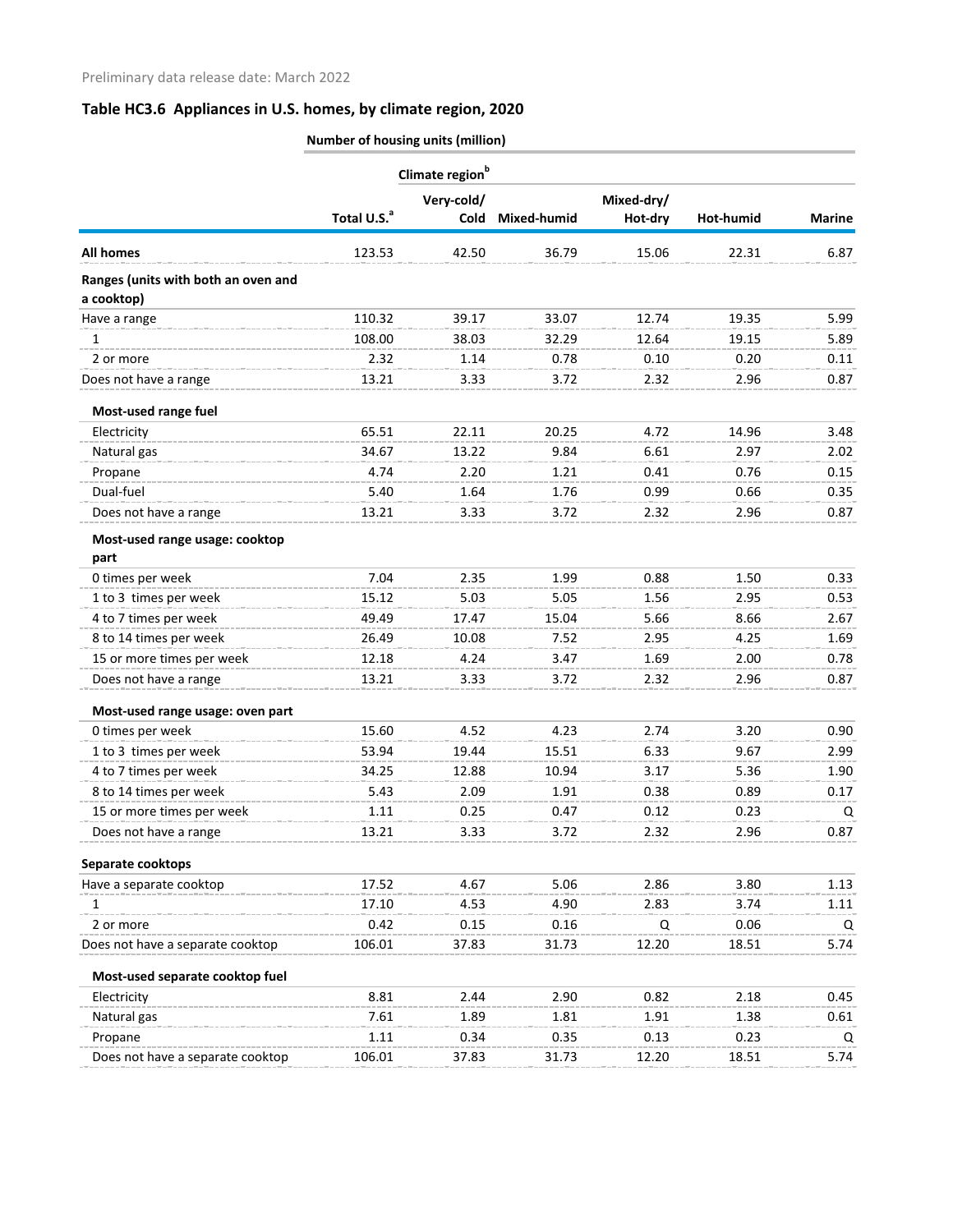|                                     |                         | Climate region <sup>b</sup> |             |            |           |               |
|-------------------------------------|-------------------------|-----------------------------|-------------|------------|-----------|---------------|
|                                     |                         | Very-cold/                  |             | Mixed-dry/ |           |               |
|                                     | Total U.S. <sup>a</sup> | Cold                        | Mixed-humid | Hot-dry    | Hot-humid | <b>Marine</b> |
| <b>All homes</b>                    | 123.53                  | 42.50                       | 36.79       | 15.06      | 22.31     | 6.87          |
| Ranges (units with both an oven and |                         |                             |             |            |           |               |
| a cooktop)                          |                         |                             |             |            |           |               |
| Have a range                        | 110.32                  | 39.17                       | 33.07       | 12.74      | 19.35     | 5.99          |
| 1                                   | 108.00                  | 38.03                       | 32.29       | 12.64      | 19.15     | 5.89          |
| 2 or more                           | 2.32                    | 1.14                        | 0.78        | 0.10       | 0.20      | 0.11          |
| Does not have a range               | 13.21                   | 3.33                        | 3.72        | 2.32       | 2.96      | 0.87          |
| Most-used range fuel                |                         |                             |             |            |           |               |
| Electricity                         | 65.51                   | 22.11                       | 20.25       | 4.72       | 14.96     | 3.48          |
| Natural gas                         | 34.67                   | 13.22                       | 9.84        | 6.61       | 2.97      | 2.02          |
| Propane                             | 4.74                    | 2.20                        | 1.21        | 0.41       | 0.76      | 0.15          |
| Dual-fuel                           | 5.40                    | 1.64                        | 1.76        | 0.99       | 0.66      | 0.35          |
| Does not have a range               | 13.21                   | 3.33                        | 3.72        | 2.32       | 2.96      | 0.87          |
| Most-used range usage: cooktop      |                         |                             |             |            |           |               |
| part                                |                         |                             |             |            |           |               |
| 0 times per week                    | 7.04                    | 2.35                        | 1.99        | 0.88       | 1.50      | 0.33          |
| 1 to 3 times per week               | 15.12                   | 5.03                        | 5.05        | 1.56       | 2.95      | 0.53          |
| 4 to 7 times per week               | 49.49                   | 17.47                       | 15.04       | 5.66       | 8.66      | 2.67          |
| 8 to 14 times per week              | 26.49                   | 10.08                       | 7.52        | 2.95       | 4.25      | 1.69          |
| 15 or more times per week           | 12.18                   | 4.24                        | 3.47        | 1.69       | 2.00      | 0.78          |
| Does not have a range               | 13.21                   | 3.33                        | 3.72        | 2.32       | 2.96      | 0.87          |
| Most-used range usage: oven part    |                         |                             |             |            |           |               |
| 0 times per week                    | 15.60                   | 4.52                        | 4.23        | 2.74       | 3.20      | 0.90          |
| 1 to 3 times per week               | 53.94                   | 19.44                       | 15.51       | 6.33       | 9.67      | 2.99          |
| 4 to 7 times per week               | 34.25                   | 12.88                       | 10.94       | 3.17       | 5.36      | 1.90          |
| 8 to 14 times per week              | 5.43                    | 2.09                        | 1.91        | 0.38       | 0.89      | 0.17          |
| 15 or more times per week           | 1.11                    | 0.25                        | 0.47        | 0.12       | 0.23      | Q             |
| Does not have a range               | 13.21                   | 3.33                        | 3.72        | 2.32       | 2.96      | 0.87          |
| Separate cooktops                   |                         |                             |             |            |           |               |
| Have a separate cooktop             | 17.52                   | 4.67                        | 5.06        | 2.86       | 3.80      | 1.13          |
| 1                                   | 17.10                   | 4.53                        | 4.90        | 2.83       | 3.74      | 1.11          |
| 2 or more                           | 0.42                    | 0.15                        | 0.16        | Q          | 0.06      | Q             |
| Does not have a separate cooktop    | 106.01                  | 37.83                       | 31.73       | 12.20      | 18.51     | 5.74          |
| Most-used separate cooktop fuel     |                         |                             |             |            |           |               |
| Electricity                         | 8.81                    | 2.44                        | 2.90        | 0.82       | 2.18      | 0.45          |
| Natural gas                         | 7.61                    | 1.89                        | 1.81        | 1.91       | 1.38      | 0.61          |
| Propane                             | 1.11                    | 0.34                        | 0.35        | 0.13       | 0.23      | Q             |
| Does not have a separate cooktop    | 106.01                  | 37.83                       | 31.73       | 12.20      | 18.51     | 5.74          |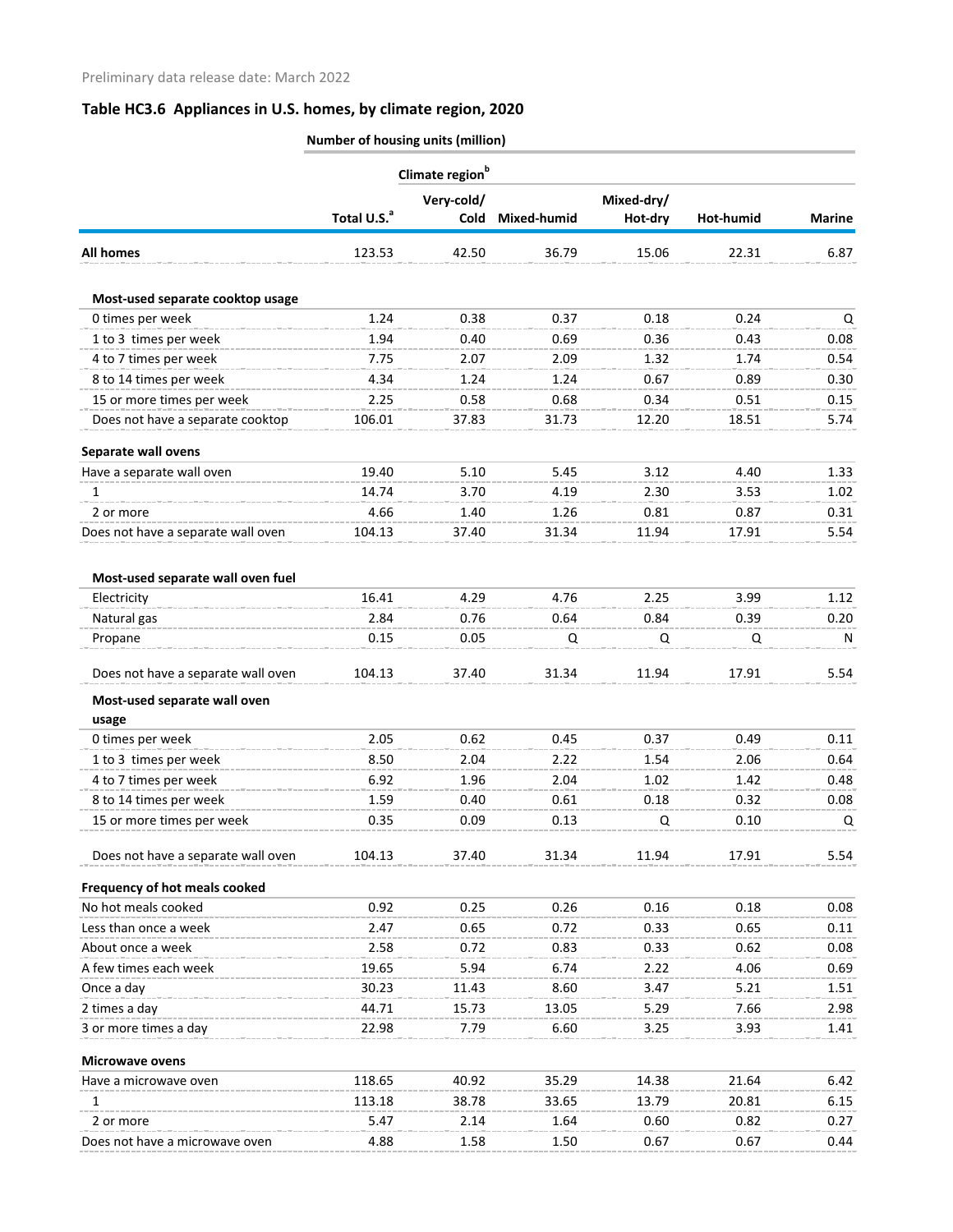|                                       | Number of housing units (million) |                             |             |                       |           |               |  |
|---------------------------------------|-----------------------------------|-----------------------------|-------------|-----------------------|-----------|---------------|--|
|                                       |                                   | Climate region <sup>b</sup> |             |                       |           |               |  |
|                                       | Total U.S. <sup>a</sup>           | Very-cold/<br><b>Cold</b>   | Mixed-humid | Mixed-dry/<br>Hot-dry | Hot-humid | <b>Marine</b> |  |
| <b>All homes</b>                      | 123.53                            | 42.50                       | 36.79       | 15.06                 | 22.31     | 6.87          |  |
| Most-used separate cooktop usage      |                                   |                             |             |                       |           |               |  |
| 0 times per week                      | 1.24                              | 0.38                        | 0.37        | 0.18                  | 0.24      | Q             |  |
| 1 to 3 times per week                 | 1.94                              | 0.40                        | 0.69        | 0.36                  | 0.43      | 0.08          |  |
| 4 to 7 times per week                 | 7.75                              | 2.07                        | 2.09        | 1.32                  | 1.74      | 0.54          |  |
| 8 to 14 times per week                | 4.34                              | 1.24                        | 1.24        | 0.67                  | 0.89      | 0.30          |  |
| 15 or more times per week             | 2.25                              | 0.58                        | 0.68        | 0.34                  | 0.51      | 0.15          |  |
| Does not have a separate cooktop      | 106.01                            | 37.83                       | 31.73       | 12.20                 | 18.51     | 5.74          |  |
| Separate wall ovens                   |                                   |                             |             |                       |           |               |  |
| Have a separate wall oven             | 19.40                             | 5.10                        | 5.45        | 3.12                  | 4.40      | 1.33          |  |
| 1                                     | 14.74                             | 3.70                        | 4.19        | 2.30                  | 3.53      | 1.02          |  |
| 2 or more                             | 4.66                              | 1.40                        | 1.26        | 0.81                  | 0.87      | 0.31          |  |
| Does not have a separate wall oven    | 104.13                            | 37.40                       | 31.34       | 11.94                 | 17.91     | 5.54          |  |
| Most-used separate wall oven fuel     |                                   |                             |             |                       |           |               |  |
| Electricity                           | 16.41                             | 4.29                        | 4.76        | 2.25                  | 3.99      | 1.12          |  |
| Natural gas                           | 2.84                              | 0.76                        | 0.64        | 0.84                  | 0.39      | 0.20          |  |
| Propane                               | 0.15                              | 0.05                        | Q           | Q                     | Q         | $\mathsf{N}$  |  |
| Does not have a separate wall oven    | 104.13                            | 37.40                       | 31.34       | 11.94                 | 17.91     | 5.54          |  |
| Most-used separate wall oven<br>usage |                                   |                             |             |                       |           |               |  |
| 0 times per week                      | 2.05                              | 0.62                        | 0.45        | 0.37                  | 0.49      | 0.11          |  |
| 1 to 3 times per week                 | 8.50                              | 2.04                        | 2.22        | 1.54                  | 2.06      | 0.64          |  |
| 4 to 7 times per week                 | 6.92                              | 1.96                        | 2.04        | 1.02                  | 1.42      | 0.48          |  |
| 8 to 14 times per week                | 1.59                              | 0.40                        | 0.61        | 0.18                  | 0.32      | 0.08          |  |
| 15 or more times per week             | 0.35                              | 0.09                        | 0.13        | Q                     | 0.10      | Q             |  |
| Does not have a separate wall oven    | 104.13                            | 37.40                       | 31.34       | 11.94                 | 17.91     | 5.54          |  |
| Frequency of hot meals cooked         |                                   |                             |             |                       |           |               |  |
| No hot meals cooked                   | 0.92                              | 0.25                        | 0.26        | 0.16                  | 0.18      | 0.08          |  |
| Less than once a week                 | 2.47                              | 0.65                        | 0.72        | 0.33                  | 0.65      | 0.11          |  |
| About once a week                     | 2.58                              | 0.72                        | 0.83        | 0.33                  | 0.62      | 0.08          |  |
| A few times each week                 | 19.65                             | 5.94                        | 6.74        | 2.22                  | 4.06      | 0.69          |  |
| Once a day                            | 30.23                             | 11.43                       | 8.60        | 3.47                  | 5.21      | 1.51          |  |
| 2 times a day                         | 44.71                             | 15.73                       | 13.05       | 5.29                  | 7.66      | 2.98          |  |
| 3 or more times a day                 | 22.98                             | 7.79                        | 6.60        | 3.25                  | 3.93      | 1.41          |  |
| <b>Microwave ovens</b>                |                                   |                             |             |                       |           |               |  |
| Have a microwave oven                 | 118.65                            | 40.92                       | 35.29       | 14.38                 | 21.64     | 6.42          |  |
| 1                                     | 113.18                            | 38.78                       | 33.65       | 13.79                 | 20.81     | 6.15          |  |
| 2 or more                             | 5.47                              | 2.14                        | 1.64        | 0.60                  | 0.82      | 0.27          |  |
| Does not have a microwave oven        | 4.88                              | 1.58                        | 1.50        | 0.67                  | 0.67      | 0.44          |  |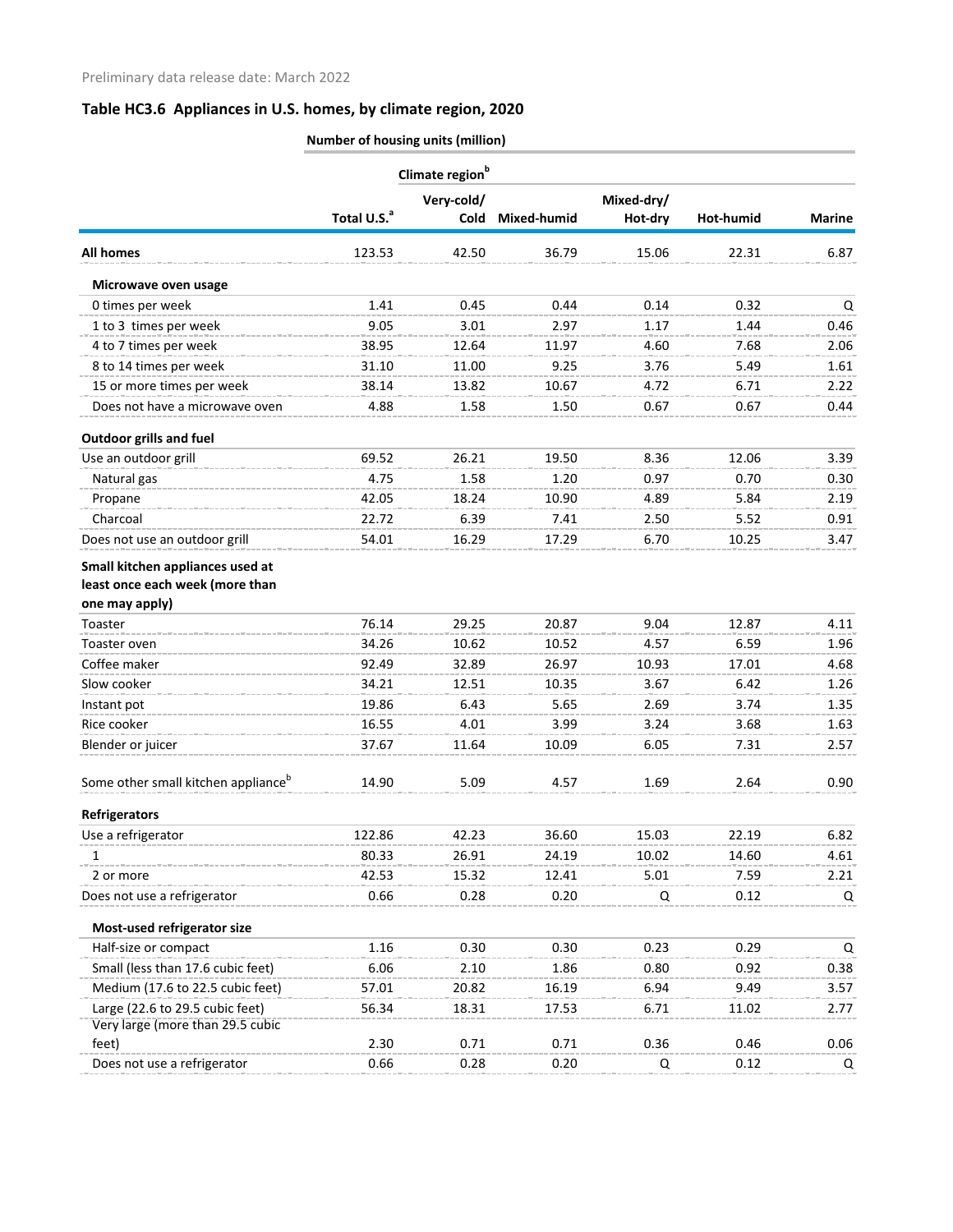|                                                 | Climate region <sup>b</sup> |            |             |            |           |               |  |  |
|-------------------------------------------------|-----------------------------|------------|-------------|------------|-----------|---------------|--|--|
|                                                 |                             | Very-cold/ |             | Mixed-dry/ |           |               |  |  |
|                                                 | Total U.S. <sup>a</sup>     | Cold       | Mixed-humid | Hot-dry    | Hot-humid | <b>Marine</b> |  |  |
| <b>All homes</b>                                | 123.53                      | 42.50      | 36.79       | 15.06      | 22.31     | 6.87          |  |  |
| Microwave oven usage                            |                             |            |             |            |           |               |  |  |
| 0 times per week                                | 1.41                        | 0.45       | 0.44        | 0.14       | 0.32      | Q             |  |  |
| 1 to 3 times per week                           | 9.05                        | 3.01       | 2.97        | 1.17       | 1.44      | 0.46          |  |  |
| 4 to 7 times per week                           | 38.95                       | 12.64      | 11.97       | 4.60       | 7.68      | 2.06          |  |  |
| 8 to 14 times per week                          | 31.10                       | 11.00      | 9.25        | 3.76       | 5.49      | 1.61          |  |  |
| 15 or more times per week                       | 38.14                       | 13.82      | 10.67       | 4.72       | 6.71      | 2.22          |  |  |
| Does not have a microwave oven                  | 4.88                        | 1.58       | 1.50        | 0.67       | 0.67      | 0.44          |  |  |
| <b>Outdoor grills and fuel</b>                  |                             |            |             |            |           |               |  |  |
| Use an outdoor grill                            | 69.52                       | 26.21      | 19.50       | 8.36       | 12.06     | 3.39          |  |  |
| Natural gas                                     | 4.75                        | 1.58       | 1.20        | 0.97       | 0.70      | 0.30          |  |  |
| Propane                                         | 42.05                       | 18.24      | 10.90       | 4.89       | 5.84      | 2.19          |  |  |
| Charcoal                                        | 22.72                       | 6.39       | 7.41        | 2.50       | 5.52      | 0.91          |  |  |
| Does not use an outdoor grill                   | 54.01                       | 16.29      | 17.29       | 6.70       | 10.25     | 3.47          |  |  |
| Small kitchen appliances used at                |                             |            |             |            |           |               |  |  |
| least once each week (more than                 |                             |            |             |            |           |               |  |  |
| one may apply)                                  |                             |            |             |            |           |               |  |  |
| Toaster                                         | 76.14                       | 29.25      | 20.87       | 9.04       | 12.87     | 4.11          |  |  |
| Toaster oven                                    | 34.26                       | 10.62      | 10.52       | 4.57       | 6.59      | 1.96          |  |  |
| Coffee maker                                    | 92.49                       | 32.89      | 26.97       | 10.93      | 17.01     | 4.68          |  |  |
| Slow cooker                                     | 34.21                       | 12.51      | 10.35       | 3.67       | 6.42      | 1.26          |  |  |
| Instant pot                                     | 19.86                       | 6.43       | 5.65        | 2.69       | 3.74      | 1.35          |  |  |
| Rice cooker                                     | 16.55                       | 4.01       | 3.99        | 3.24       | 3.68      | 1.63          |  |  |
| Blender or juicer                               | 37.67                       | 11.64      | 10.09       | 6.05       | 7.31      | 2.57          |  |  |
| Some other small kitchen appliance <sup>b</sup> | 14.90                       | 5.09       | 4.57        | 1.69       | 2.64      | 0.90          |  |  |
| <b>Refrigerators</b>                            |                             |            |             |            |           |               |  |  |
| Use a refrigerator                              | 122.86                      | 42.23      | 36.60       | 15.03      | 22.19     | 6.82          |  |  |
| 1                                               | 80.33                       | 26.91      | 24.19       | 10.02      | 14.60     | 4.61          |  |  |
| 2 or more                                       | 42.53                       | 15.32      | 12.41       | 5.01       | 7.59      | 2.21          |  |  |
| Does not use a refrigerator                     | 0.66                        | 0.28       | 0.20        | Q          | 0.12      | Q             |  |  |
| Most-used refrigerator size                     |                             |            |             |            |           |               |  |  |
| Half-size or compact                            | 1.16                        | 0.30       | 0.30        | 0.23       | 0.29      | Q             |  |  |
| Small (less than 17.6 cubic feet)               | 6.06                        | 2.10       | 1.86        | 0.80       | 0.92      | 0.38          |  |  |
| Medium (17.6 to 22.5 cubic feet)                | 57.01                       | 20.82      | 16.19       | 6.94       | 9.49      | 3.57          |  |  |
| Large (22.6 to 29.5 cubic feet)                 | 56.34                       | 18.31      | 17.53       | 6.71       | 11.02     | 2.77          |  |  |
| Very large (more than 29.5 cubic                |                             |            |             |            |           |               |  |  |
| feet)                                           | 2.30                        | 0.71       | 0.71        | 0.36       | 0.46      | 0.06          |  |  |
| Does not use a refrigerator                     | 0.66                        | 0.28       | 0.20        | Q          | 0.12      | Q             |  |  |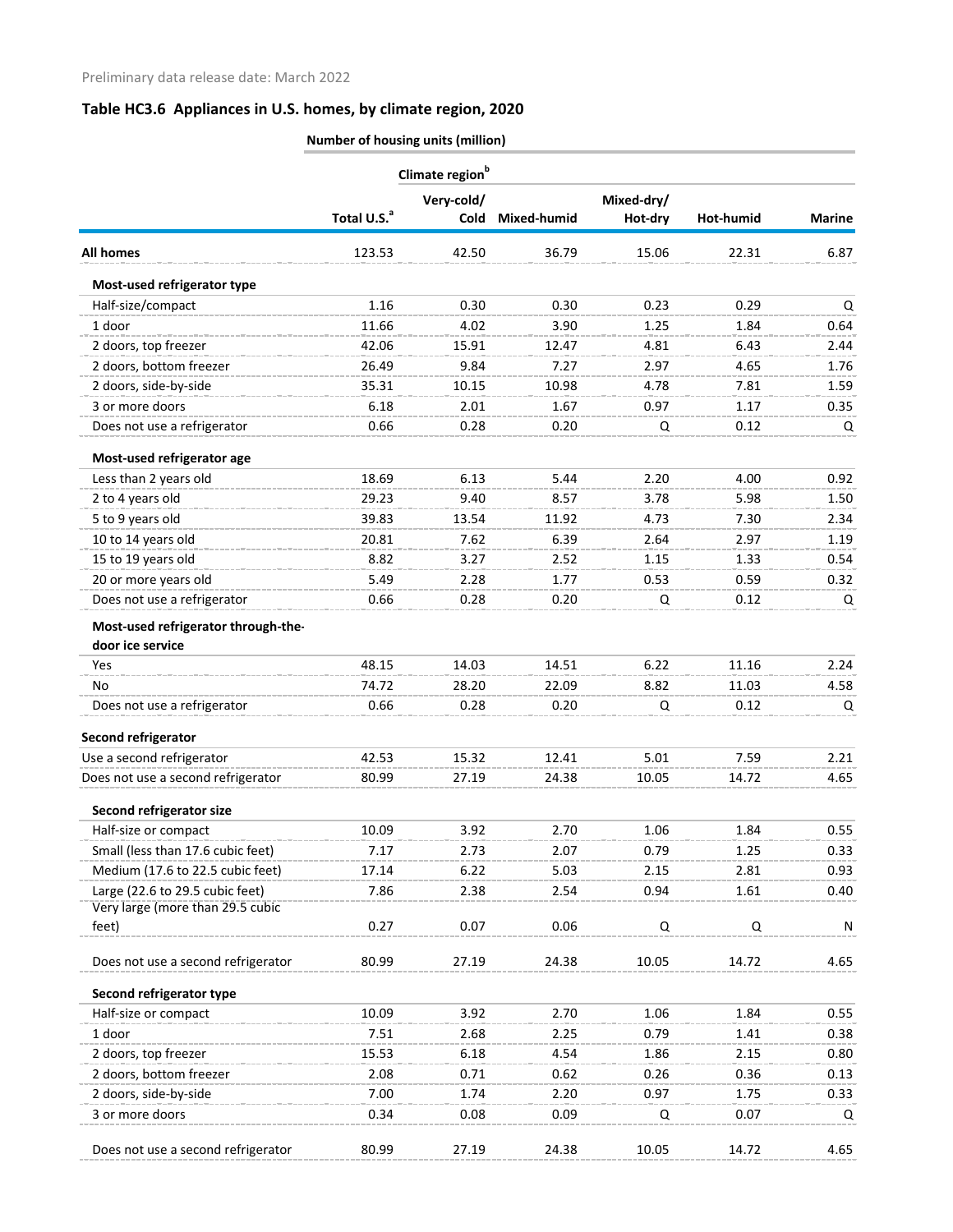|                                     |                         | Climate region <sup>b</sup> |             |         |           |               |
|-------------------------------------|-------------------------|-----------------------------|-------------|---------|-----------|---------------|
|                                     |                         | Very-cold/                  | Mixed-dry/  |         |           |               |
|                                     | Total U.S. <sup>a</sup> | Cold                        | Mixed-humid | Hot-dry | Hot-humid | <b>Marine</b> |
| <b>All homes</b>                    | 123.53                  | 42.50                       | 36.79       | 15.06   | 22.31     | 6.87          |
| Most-used refrigerator type         |                         |                             |             |         |           |               |
| Half-size/compact                   | 1.16                    | 0.30                        | 0.30        | 0.23    | 0.29      | Q             |
| 1 door                              | 11.66                   | 4.02                        | 3.90        | 1.25    | 1.84      | 0.64          |
| 2 doors, top freezer                | 42.06                   | 15.91                       | 12.47       | 4.81    | 6.43      | 2.44          |
| 2 doors, bottom freezer             | 26.49                   | 9.84                        | 7.27        | 2.97    | 4.65      | 1.76          |
| 2 doors, side-by-side               | 35.31                   | 10.15                       | 10.98       | 4.78    | 7.81      | 1.59          |
| 3 or more doors                     | 6.18                    | 2.01                        | 1.67        | 0.97    | 1.17      | 0.35          |
| Does not use a refrigerator         | 0.66                    | 0.28                        | 0.20        | Q       | 0.12      | Q             |
| Most-used refrigerator age          |                         |                             |             |         |           |               |
| Less than 2 years old               | 18.69                   | 6.13                        | 5.44        | 2.20    | 4.00      | 0.92          |
| 2 to 4 years old                    | 29.23                   | 9.40                        | 8.57        | 3.78    | 5.98      | 1.50          |
| 5 to 9 years old                    | 39.83                   | 13.54                       | 11.92       | 4.73    | 7.30      | 2.34          |
| 10 to 14 years old                  | 20.81                   | 7.62                        | 6.39        | 2.64    | 2.97      | 1.19          |
| 15 to 19 years old                  | 8.82                    | 3.27                        | 2.52        | 1.15    | 1.33      | 0.54          |
| 20 or more years old                | 5.49                    | 2.28                        | 1.77        | 0.53    | 0.59      | 0.32          |
| Does not use a refrigerator         | 0.66                    | 0.28                        | 0.20        | Q       | 0.12      | Q             |
| Most-used refrigerator through-the- |                         |                             |             |         |           |               |
| door ice service                    |                         |                             |             |         |           |               |
| Yes                                 | 48.15                   | 14.03                       | 14.51       | 6.22    | 11.16     | 2.24          |
| No.                                 | 74.72                   | 28.20                       | 22.09       | 8.82    | 11.03     | 4.58          |
| Does not use a refrigerator         | 0.66                    | 0.28                        | 0.20        | Q       | 0.12      | Q             |
| Second refrigerator                 |                         |                             |             |         |           |               |
| Use a second refrigerator           | 42.53                   | 15.32                       | 12.41       | 5.01    | 7.59      | 2.21          |
| Does not use a second refrigerator  | 80.99                   | 27.19                       | 24.38       | 10.05   | 14.72     | 4.65          |
| Second refrigerator size            |                         |                             |             |         |           |               |
| Half-size or compact                | 10.09                   | 3.92                        | 2.70        | 1.06    | 1.84      | 0.55          |
| Small (less than 17.6 cubic feet)   | 7.17                    | 2.73                        | 2.07        | 0.79    | 1.25      | 0.33          |
| Medium (17.6 to 22.5 cubic feet)    | 17.14                   | 6.22                        | 5.03        | 2.15    | 2.81      | 0.93          |
| Large (22.6 to 29.5 cubic feet)     | 7.86                    | 2.38                        | 2.54        | 0.94    | 1.61      | 0.40          |
| Very large (more than 29.5 cubic    |                         |                             |             |         |           |               |
| feet)                               | 0.27                    | 0.07                        | 0.06        | Q       | Q         | N             |
| Does not use a second refrigerator  | 80.99                   | 27.19                       | 24.38       | 10.05   | 14.72     | 4.65          |
| Second refrigerator type            |                         |                             |             |         |           |               |
| Half-size or compact                | 10.09                   | 3.92                        | 2.70        | 1.06    | 1.84      | 0.55          |
| 1 door                              | 7.51                    | 2.68                        | 2.25        | 0.79    | 1.41      | 0.38          |
| 2 doors, top freezer                | 15.53                   | 6.18                        | 4.54        | 1.86    | 2.15      | 0.80          |
| 2 doors, bottom freezer             | 2.08                    | 0.71                        | 0.62        | 0.26    | 0.36      | 0.13          |
| 2 doors, side-by-side               | 7.00                    | 1.74                        | 2.20        | 0.97    | 1.75      | 0.33          |
| 3 or more doors                     | 0.34                    | 0.08                        | 0.09        | Q       | 0.07      | Q             |
| Does not use a second refrigerator  | 80.99                   | 27.19                       | 24.38       | 10.05   | 14.72     | 4.65          |
|                                     |                         |                             |             |         |           |               |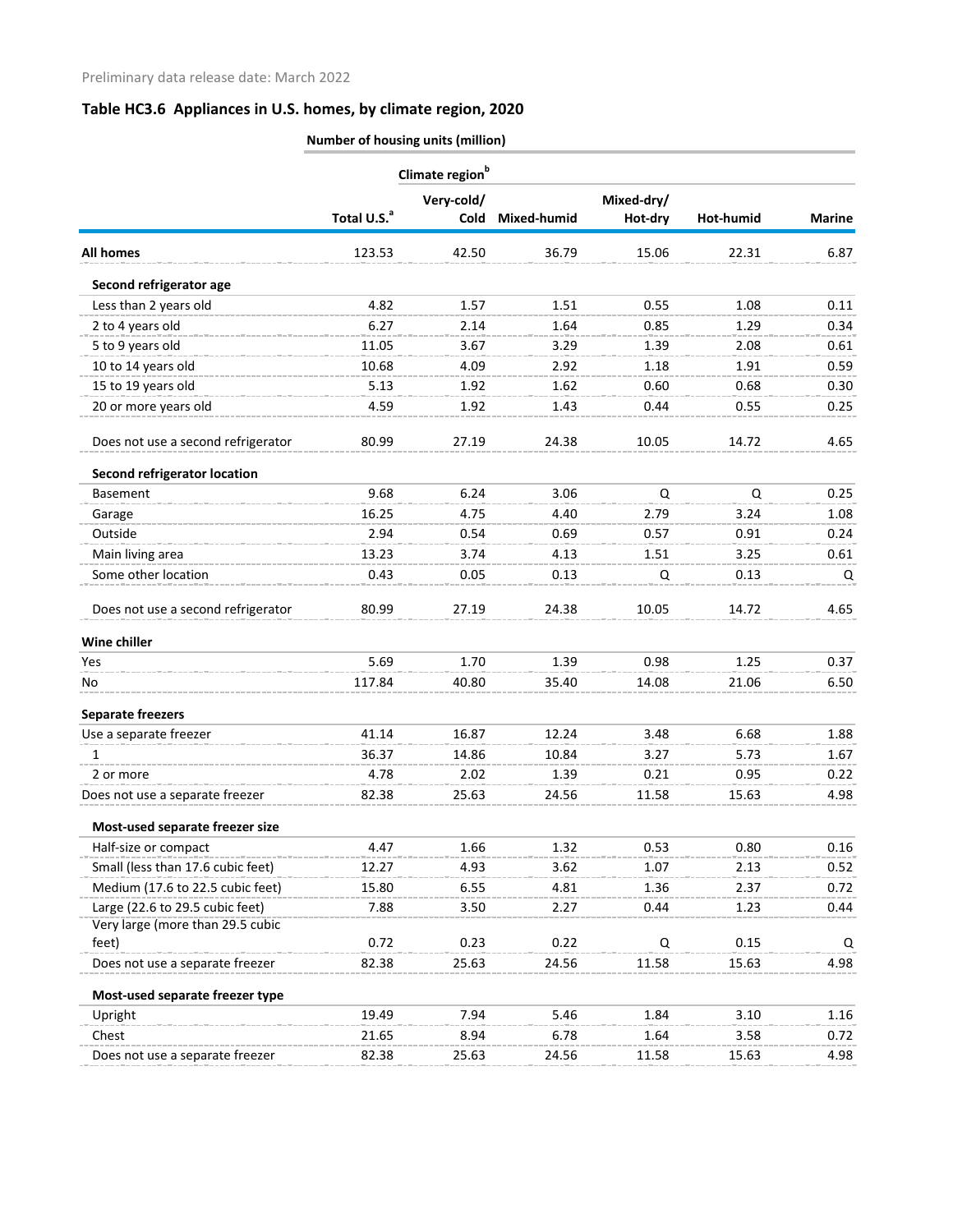|                                     | Climate region <sup>b</sup> |            |             |            |           |               |  |  |
|-------------------------------------|-----------------------------|------------|-------------|------------|-----------|---------------|--|--|
|                                     |                             | Very-cold/ |             | Mixed-dry/ |           |               |  |  |
|                                     | Total U.S. <sup>a</sup>     | Cold       | Mixed-humid | Hot-dry    | Hot-humid | <b>Marine</b> |  |  |
| <b>All homes</b>                    | 123.53                      | 42.50      | 36.79       | 15.06      | 22.31     | 6.87          |  |  |
| Second refrigerator age             |                             |            |             |            |           |               |  |  |
| Less than 2 years old               | 4.82                        | 1.57       | 1.51        | 0.55       | 1.08      | 0.11          |  |  |
| 2 to 4 years old                    | 6.27                        | 2.14       | 1.64        | 0.85       | 1.29      | 0.34          |  |  |
| 5 to 9 years old                    | 11.05                       | 3.67       | 3.29        | 1.39       | 2.08      | 0.61          |  |  |
| 10 to 14 years old                  | 10.68                       | 4.09       | 2.92        | 1.18       | 1.91      | 0.59          |  |  |
| 15 to 19 years old                  | 5.13                        | 1.92       | 1.62        | 0.60       | 0.68      | 0.30          |  |  |
| 20 or more years old                | 4.59                        | 1.92       | 1.43        | 0.44       | 0.55      | 0.25          |  |  |
| Does not use a second refrigerator  | 80.99                       | 27.19      | 24.38       | 10.05      | 14.72     | 4.65          |  |  |
| <b>Second refrigerator location</b> |                             |            |             |            |           |               |  |  |
| <b>Basement</b>                     | 9.68                        | 6.24       | 3.06        | Q          | Q         | 0.25          |  |  |
| Garage                              | 16.25                       | 4.75       | 4.40        | 2.79       | 3.24      | 1.08          |  |  |
| Outside                             | 2.94                        | 0.54       | 0.69        | 0.57       | 0.91      | 0.24          |  |  |
| Main living area                    | 13.23                       | 3.74       | 4.13        | 1.51       | 3.25      | 0.61          |  |  |
| Some other location                 | 0.43                        | 0.05       | 0.13        | Q          | 0.13      | Q             |  |  |
| Does not use a second refrigerator  | 80.99                       | 27.19      | 24.38       | 10.05      | 14.72     | 4.65          |  |  |
| Wine chiller                        |                             |            |             |            |           |               |  |  |
| Yes                                 | 5.69                        | 1.70       | 1.39        | 0.98       | 1.25      | 0.37          |  |  |
| No                                  | 117.84                      | 40.80      | 35.40       | 14.08      | 21.06     | 6.50          |  |  |
| <b>Separate freezers</b>            |                             |            |             |            |           |               |  |  |
| Use a separate freezer              | 41.14                       | 16.87      | 12.24       | 3.48       | 6.68      | 1.88          |  |  |
| 1                                   | 36.37                       | 14.86      | 10.84       | 3.27       | 5.73      | 1.67          |  |  |
| 2 or more                           | 4.78                        | 2.02       | 1.39        | 0.21       | 0.95      | 0.22          |  |  |
| Does not use a separate freezer     | 82.38                       | 25.63      | 24.56       | 11.58      | 15.63     | 4.98          |  |  |
| Most-used separate freezer size     |                             |            |             |            |           |               |  |  |
| Half-size or compact                | 4.47                        | 1.66       | 1.32        | 0.53       | 0.80      | 0.16          |  |  |
| Small (less than 17.6 cubic feet)   | 12.27                       | 4.93       | 3.62        | 1.07       | 2.13      | 0.52          |  |  |
| Medium (17.6 to 22.5 cubic feet)    | 15.80                       | 6.55       | 4.81        | 1.36       | 2.37      | 0.72          |  |  |
| Large (22.6 to 29.5 cubic feet)     | 7.88                        | 3.50       | 2.27        | 0.44       | 1.23      | 0.44          |  |  |
| Very large (more than 29.5 cubic    |                             |            |             |            |           |               |  |  |
| feet)                               | 0.72                        | 0.23       | 0.22        | Q          | 0.15      | Q             |  |  |
| Does not use a separate freezer     | 82.38                       | 25.63      | 24.56       | 11.58      | 15.63     | 4.98          |  |  |
| Most-used separate freezer type     |                             |            |             |            |           |               |  |  |
| Upright                             | 19.49                       | 7.94       | 5.46        | 1.84       | 3.10      | 1.16          |  |  |
| Chest                               | 21.65                       | 8.94       | 6.78        | 1.64       | 3.58      | 0.72          |  |  |
| Does not use a separate freezer     | 82.38                       | 25.63      | 24.56       | 11.58      | 15.63     | 4.98          |  |  |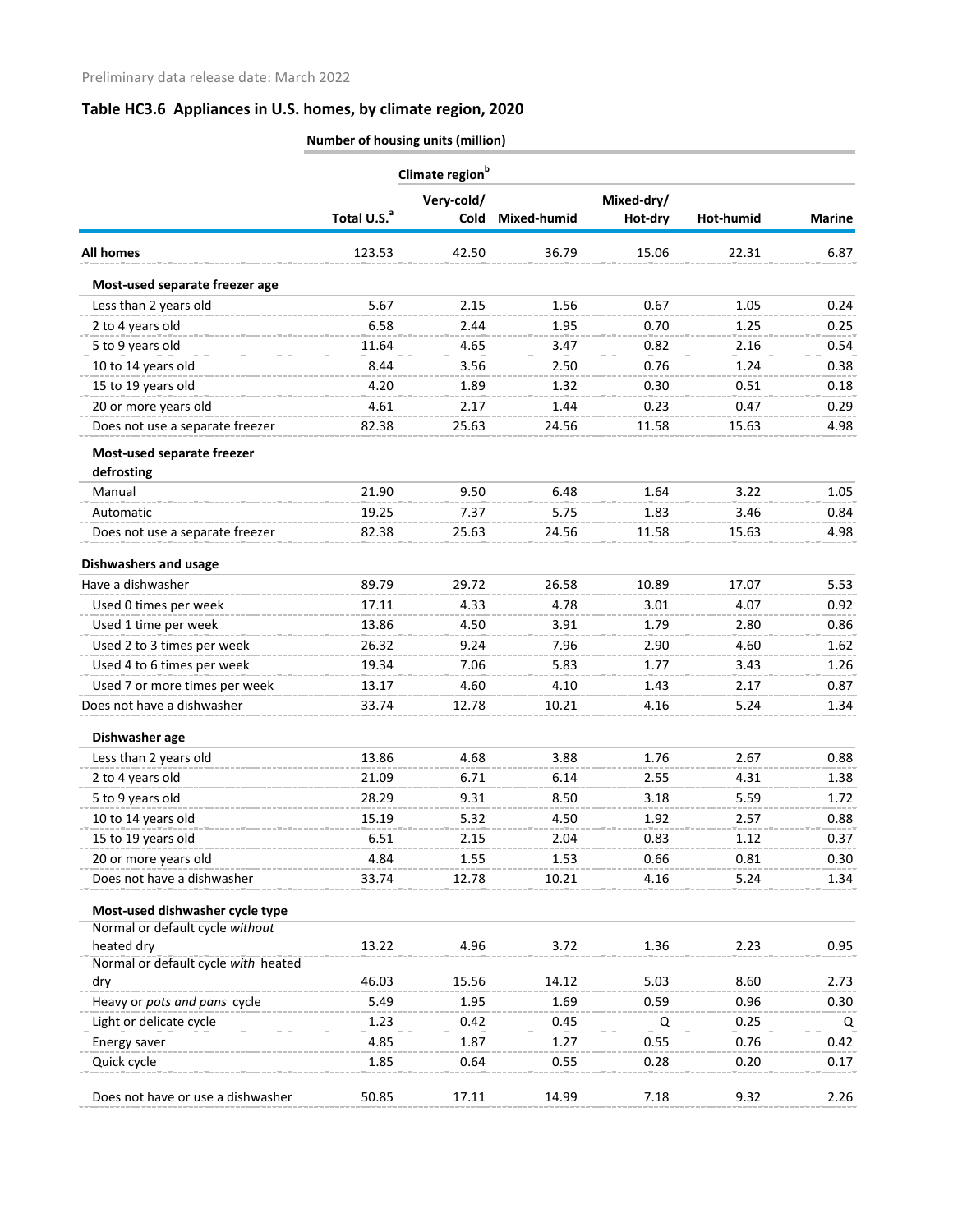|                                     | Climate region <sup>b</sup> |            |             |            |           |               |  |  |
|-------------------------------------|-----------------------------|------------|-------------|------------|-----------|---------------|--|--|
|                                     |                             | Very-cold/ |             | Mixed-dry/ |           |               |  |  |
|                                     | Total U.S. <sup>a</sup>     | Cold       | Mixed-humid | Hot-dry    | Hot-humid | <b>Marine</b> |  |  |
| <b>All homes</b>                    | 123.53                      | 42.50      | 36.79       | 15.06      | 22.31     | 6.87          |  |  |
| Most-used separate freezer age      |                             |            |             |            |           |               |  |  |
| Less than 2 years old               | 5.67                        | 2.15       | 1.56        | 0.67       | 1.05      | 0.24          |  |  |
| 2 to 4 years old                    | 6.58                        | 2.44       | 1.95        | 0.70       | 1.25      | 0.25          |  |  |
| 5 to 9 years old                    | 11.64                       | 4.65       | 3.47        | 0.82       | 2.16      | 0.54          |  |  |
| 10 to 14 years old                  | 8.44                        | 3.56       | 2.50        | 0.76       | 1.24      | 0.38          |  |  |
| 15 to 19 years old                  | 4.20                        | 1.89       | 1.32        | 0.30       | 0.51      | 0.18          |  |  |
| 20 or more years old                | 4.61                        | 2.17       | 1.44        | 0.23       | 0.47      | 0.29          |  |  |
| Does not use a separate freezer     | 82.38                       | 25.63      | 24.56       | 11.58      | 15.63     | 4.98          |  |  |
| Most-used separate freezer          |                             |            |             |            |           |               |  |  |
| defrosting                          |                             |            |             |            |           |               |  |  |
| Manual                              | 21.90                       | 9.50       | 6.48        | 1.64       | 3.22      | 1.05          |  |  |
| Automatic                           | 19.25                       | 7.37       | 5.75        | 1.83       | 3.46      | 0.84          |  |  |
| Does not use a separate freezer     | 82.38                       | 25.63      | 24.56       | 11.58      | 15.63     | 4.98          |  |  |
| <b>Dishwashers and usage</b>        |                             |            |             |            |           |               |  |  |
| Have a dishwasher                   | 89.79                       | 29.72      | 26.58       | 10.89      | 17.07     | 5.53          |  |  |
| Used 0 times per week               | 17.11                       | 4.33       | 4.78        | 3.01       | 4.07      | 0.92          |  |  |
| Used 1 time per week                | 13.86                       | 4.50       | 3.91        | 1.79       | 2.80      | 0.86          |  |  |
| Used 2 to 3 times per week          | 26.32                       | 9.24       | 7.96        | 2.90       | 4.60      | 1.62          |  |  |
| Used 4 to 6 times per week          | 19.34                       | 7.06       | 5.83        | 1.77       | 3.43      | 1.26          |  |  |
| Used 7 or more times per week       | 13.17                       | 4.60       | 4.10        | 1.43       | 2.17      | 0.87          |  |  |
| Does not have a dishwasher          | 33.74                       | 12.78      | 10.21       | 4.16       | 5.24      | 1.34          |  |  |
| Dishwasher age                      |                             |            |             |            |           |               |  |  |
| Less than 2 years old               | 13.86                       | 4.68       | 3.88        | 1.76       | 2.67      | 0.88          |  |  |
| 2 to 4 years old                    | 21.09                       | 6.71       | 6.14        | 2.55       | 4.31      | 1.38          |  |  |
| 5 to 9 years old                    | 28.29                       | 9.31       | 8.50        | 3.18       | 5.59      | 1.72          |  |  |
| 10 to 14 years old                  | 15.19                       | 5.32       | 4.50        | 1.92       | 2.57      | 0.88          |  |  |
| 15 to 19 years old                  | 6.51                        | 2.15       | 2.04        | 0.83       | 1.12      | 0.37          |  |  |
| 20 or more years old                | 4.84                        | 1.55       | 1.53        | 0.66       | 0.81      | 0.30          |  |  |
| Does not have a dishwasher          | 33.74                       | 12.78      | 10.21       | 4.16       | 5.24      | 1.34          |  |  |
| Most-used dishwasher cycle type     |                             |            |             |            |           |               |  |  |
| Normal or default cycle without     |                             |            |             |            |           |               |  |  |
| heated dry                          | 13.22                       | 4.96       | 3.72        | 1.36       | 2.23      | 0.95          |  |  |
| Normal or default cycle with heated |                             |            |             |            |           |               |  |  |
| dry                                 | 46.03                       | 15.56      | 14.12       | 5.03       | 8.60      | 2.73          |  |  |
| Heavy or pots and pans cycle        | 5.49                        | 1.95       | 1.69        | 0.59       | 0.96      | 0.30          |  |  |
| Light or delicate cycle             | 1.23                        | 0.42       | 0.45        | Q          | 0.25      | Q             |  |  |
| Energy saver                        | 4.85                        | 1.87       | 1.27        | 0.55       | 0.76      | 0.42          |  |  |
| Quick cycle                         | 1.85                        | 0.64       | 0.55        | 0.28       | 0.20      | 0.17          |  |  |
| Does not have or use a dishwasher   | 50.85                       | 17.11      | 14.99       | 7.18       | 9.32      | 2.26          |  |  |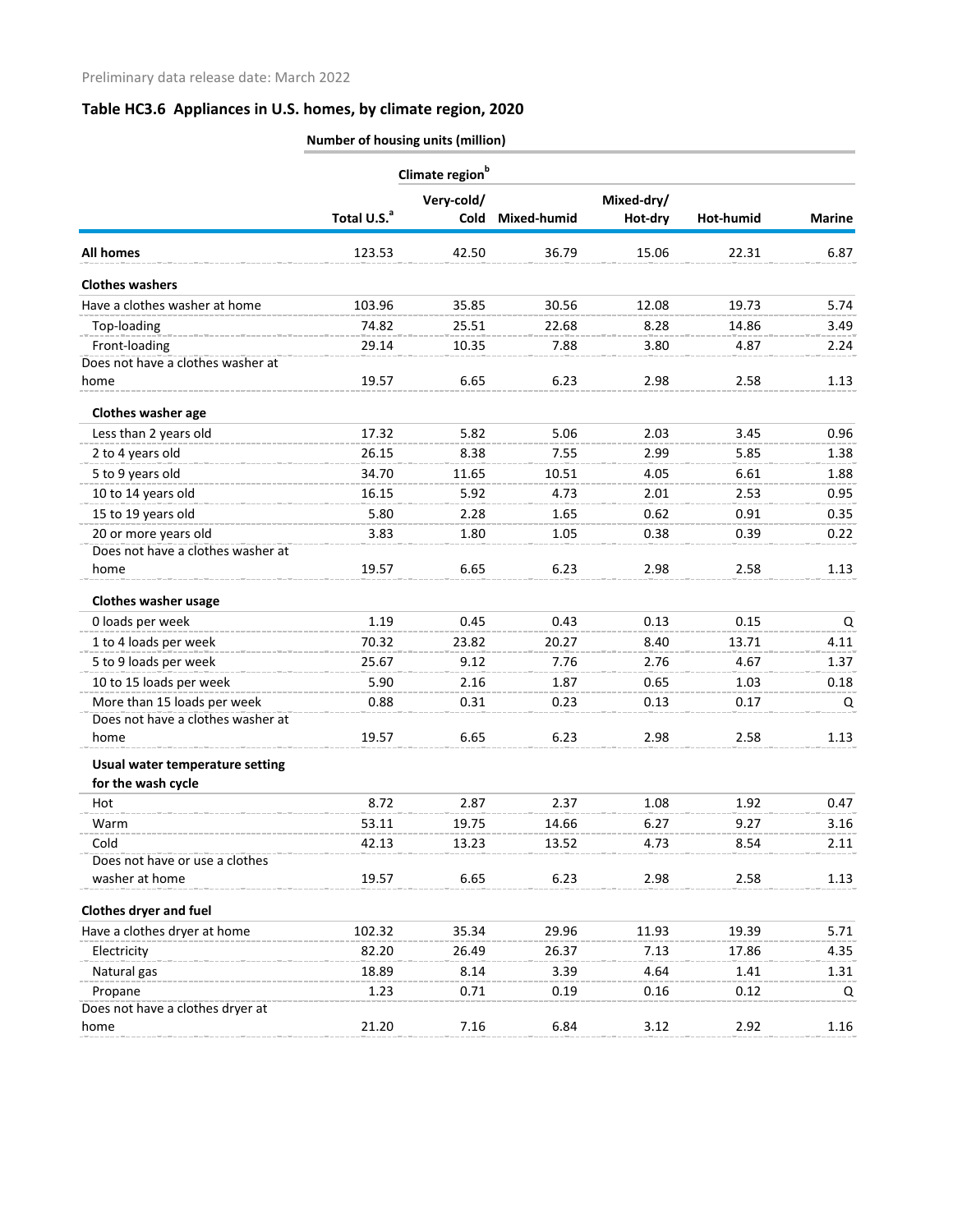|                                   |                         | Climate region <sup>b</sup> |             |                       |           |               |  |  |
|-----------------------------------|-------------------------|-----------------------------|-------------|-----------------------|-----------|---------------|--|--|
|                                   | Total U.S. <sup>a</sup> | Very-cold/<br><b>Cold</b>   | Mixed-humid | Mixed-dry/<br>Hot-dry | Hot-humid | <b>Marine</b> |  |  |
| <b>All homes</b>                  | 123.53                  | 42.50                       | 36.79       | 15.06                 | 22.31     | 6.87          |  |  |
| <b>Clothes washers</b>            |                         |                             |             |                       |           |               |  |  |
| Have a clothes washer at home     | 103.96                  | 35.85                       | 30.56       | 12.08                 | 19.73     | 5.74          |  |  |
| Top-loading                       | 74.82                   | 25.51                       | 22.68       | 8.28                  | 14.86     | 3.49          |  |  |
| Front-loading                     | 29.14                   | 10.35                       | 7.88        | 3.80                  | 4.87      | 2.24          |  |  |
| Does not have a clothes washer at |                         |                             |             |                       |           |               |  |  |
| home                              | 19.57                   | 6.65                        | 6.23        | 2.98                  | 2.58      | 1.13          |  |  |
| Clothes washer age                |                         |                             |             |                       |           |               |  |  |
| Less than 2 years old             | 17.32                   | 5.82                        | 5.06        | 2.03                  | 3.45      | 0.96          |  |  |
| 2 to 4 years old                  | 26.15                   | 8.38                        | 7.55        | 2.99                  | 5.85      | 1.38          |  |  |
| 5 to 9 years old                  | 34.70                   | 11.65                       | 10.51       | 4.05                  | 6.61      | 1.88          |  |  |
| 10 to 14 years old                | 16.15                   | 5.92                        | 4.73        | 2.01                  | 2.53      | 0.95          |  |  |
| 15 to 19 years old                | 5.80                    | 2.28                        | 1.65        | 0.62                  | 0.91      | 0.35          |  |  |
| 20 or more years old              | 3.83                    | 1.80                        | 1.05        | 0.38                  | 0.39      | 0.22          |  |  |
| Does not have a clothes washer at |                         |                             |             |                       |           |               |  |  |
| home                              | 19.57                   | 6.65                        | 6.23        | 2.98                  | 2.58      | 1.13          |  |  |
| <b>Clothes washer usage</b>       |                         |                             |             |                       |           |               |  |  |
| 0 loads per week                  | 1.19                    | 0.45                        | 0.43        | 0.13                  | 0.15      | Q             |  |  |
| 1 to 4 loads per week             | 70.32                   | 23.82                       | 20.27       | 8.40                  | 13.71     | 4.11          |  |  |
| 5 to 9 loads per week             | 25.67                   | 9.12                        | 7.76        | 2.76                  | 4.67      | 1.37          |  |  |
| 10 to 15 loads per week           | 5.90                    | 2.16                        | 1.87        | 0.65                  | 1.03      | 0.18          |  |  |
| More than 15 loads per week       | 0.88                    | 0.31                        | 0.23        | 0.13                  | 0.17      | $\Omega$      |  |  |
| Does not have a clothes washer at |                         |                             |             |                       |           |               |  |  |
| home                              | 19.57                   | 6.65                        | 6.23        | 2.98                  | 2.58      | 1.13          |  |  |
| Usual water temperature setting   |                         |                             |             |                       |           |               |  |  |
| for the wash cycle                |                         |                             |             |                       |           |               |  |  |
| Hot                               | 8.72                    | 2.87                        | 2.37        | 1.08                  | 1.92      | 0.47          |  |  |
| Warm                              | 53.11                   | 19.75                       | 14.66       | 6.27                  | 9.27      | 3.16          |  |  |
| Cold                              | 42.13                   | 13.23                       | 13.52       | 4.73                  | 8.54      | 2.11          |  |  |
| Does not have or use a clothes    |                         |                             |             |                       |           |               |  |  |
| washer at home                    | 19.57                   | 6.65                        | 6.23        | 2.98                  | 2.58      | 1.13          |  |  |
| <b>Clothes dryer and fuel</b>     |                         |                             |             |                       |           |               |  |  |
| Have a clothes dryer at home      | 102.32                  | 35.34                       | 29.96       | 11.93                 | 19.39     | 5.71          |  |  |
| Electricity                       | 82.20                   | 26.49                       | 26.37       | 7.13                  | 17.86     | 4.35          |  |  |
| Natural gas                       | 18.89                   | 8.14                        | 3.39        | 4.64                  | 1.41      | 1.31          |  |  |
| Propane                           | 1.23                    | 0.71                        | 0.19        | 0.16                  | 0.12      | Q             |  |  |
| Does not have a clothes dryer at  |                         |                             |             |                       |           |               |  |  |
| home                              | 21.20                   | 7.16                        | 6.84        | 3.12                  | 2.92      | 1.16          |  |  |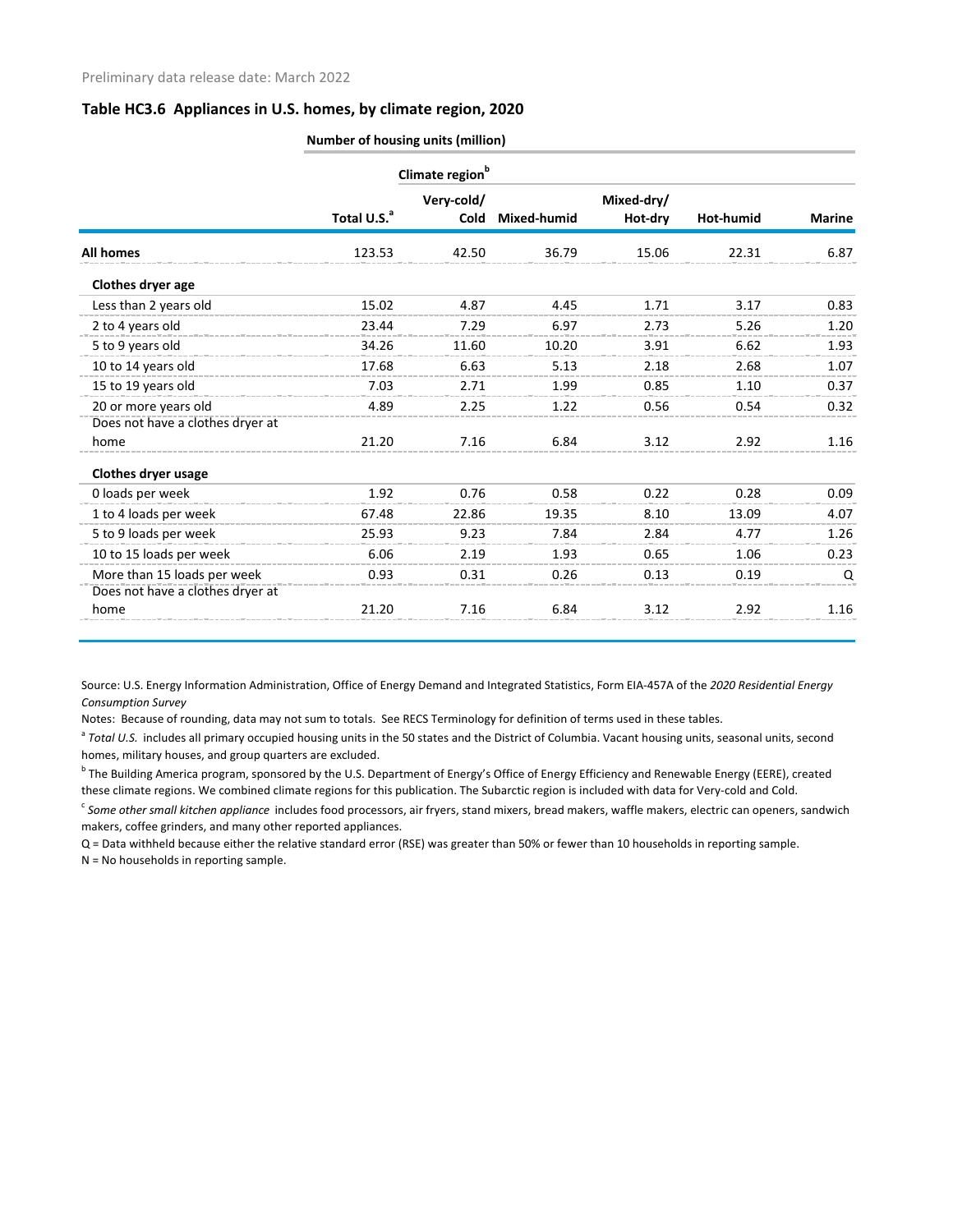|                                  | Number of housing units (million) |                             |             |                       |           |               |  |
|----------------------------------|-----------------------------------|-----------------------------|-------------|-----------------------|-----------|---------------|--|
|                                  |                                   | Climate region <sup>b</sup> |             |                       |           |               |  |
|                                  | Total U.S. <sup>a</sup>           | Very-cold/<br>Cold          | Mixed-humid | Mixed-dry/<br>Hot-dry | Hot-humid | <b>Marine</b> |  |
| <b>All homes</b>                 | 123.53                            | 42.50                       | 36.79       | 15.06                 | 22.31     | 6.87          |  |
| Clothes dryer age                |                                   |                             |             |                       |           |               |  |
| Less than 2 years old            | 15.02                             | 4.87                        | 4.45        | 1.71                  | 3.17      | 0.83          |  |
| 2 to 4 years old                 | 23.44                             | 7.29                        | 6.97        | 2.73                  | 5.26      | 1.20          |  |
| 5 to 9 years old                 | 34.26                             | 11.60                       | 10.20       | 3.91                  | 6.62      | 1.93          |  |
| 10 to 14 years old               | 17.68                             | 6.63                        | 5.13        | 2.18                  | 2.68      | 1.07          |  |
| 15 to 19 years old               | 7.03                              | 2.71                        | 1.99        | 0.85                  | 1.10      | 0.37          |  |
| 20 or more years old             | 4.89                              | 2.25                        | 1.22        | 0.56                  | 0.54      | 0.32          |  |
| Does not have a clothes dryer at |                                   |                             |             |                       |           |               |  |
| home                             | 21.20                             | 7.16                        | 6.84        | 3.12                  | 2.92      | 1.16          |  |
| <b>Clothes dryer usage</b>       |                                   |                             |             |                       |           |               |  |
| 0 loads per week                 | 1.92                              | 0.76                        | 0.58        | 0.22                  | 0.28      | 0.09          |  |
| 1 to 4 loads per week            | 67.48                             | 22.86                       | 19.35       | 8.10                  | 13.09     | 4.07          |  |
| 5 to 9 loads per week            | 25.93                             | 9.23                        | 7.84        | 2.84                  | 4.77      | 1.26          |  |
| 10 to 15 loads per week          | 6.06                              | 2.19                        | 1.93        | 0.65                  | 1.06      | 0.23          |  |
| More than 15 loads per week      | 0.93                              | 0.31                        | 0.26        | 0.13                  | 0.19      | Q             |  |
| Does not have a clothes dryer at |                                   |                             |             |                       |           |               |  |
| home                             | 21.20                             | 7.16                        | 6.84        | 3.12                  | 2.92      | 1.16          |  |

Source: U.S. Energy Information Administration, Office of Energy Demand and Integrated Statistics, Form EIA-457A of the *2020 Residential Energy Consumption Survey*

Notes: Because of rounding, data may not sum to totals. See RECS Terminology for definition of terms used in these tables.

<sup>a</sup> Total U.S. includes all primary occupied housing units in the 50 states and the District of Columbia. Vacant housing units, seasonal units, second homes, military houses, and group quarters are excluded.

<sup>b</sup> The Building America program, sponsored by the U.S. Department of Energy's Office of Energy Efficiency and Renewable Energy (EERE), created these climate regions. We combined climate regions for this publication. The Subarctic region is included with data for Very-cold and Cold.

<sup>c</sup> Some other small kitchen appliance includes food processors, air fryers, stand mixers, bread makers, waffle makers, electric can openers, sandwich makers, coffee grinders, and many other reported appliances.

Q = Data withheld because either the relative standard error (RSE) was greater than 50% or fewer than 10 households in reporting sample.

N = No households in reporting sample.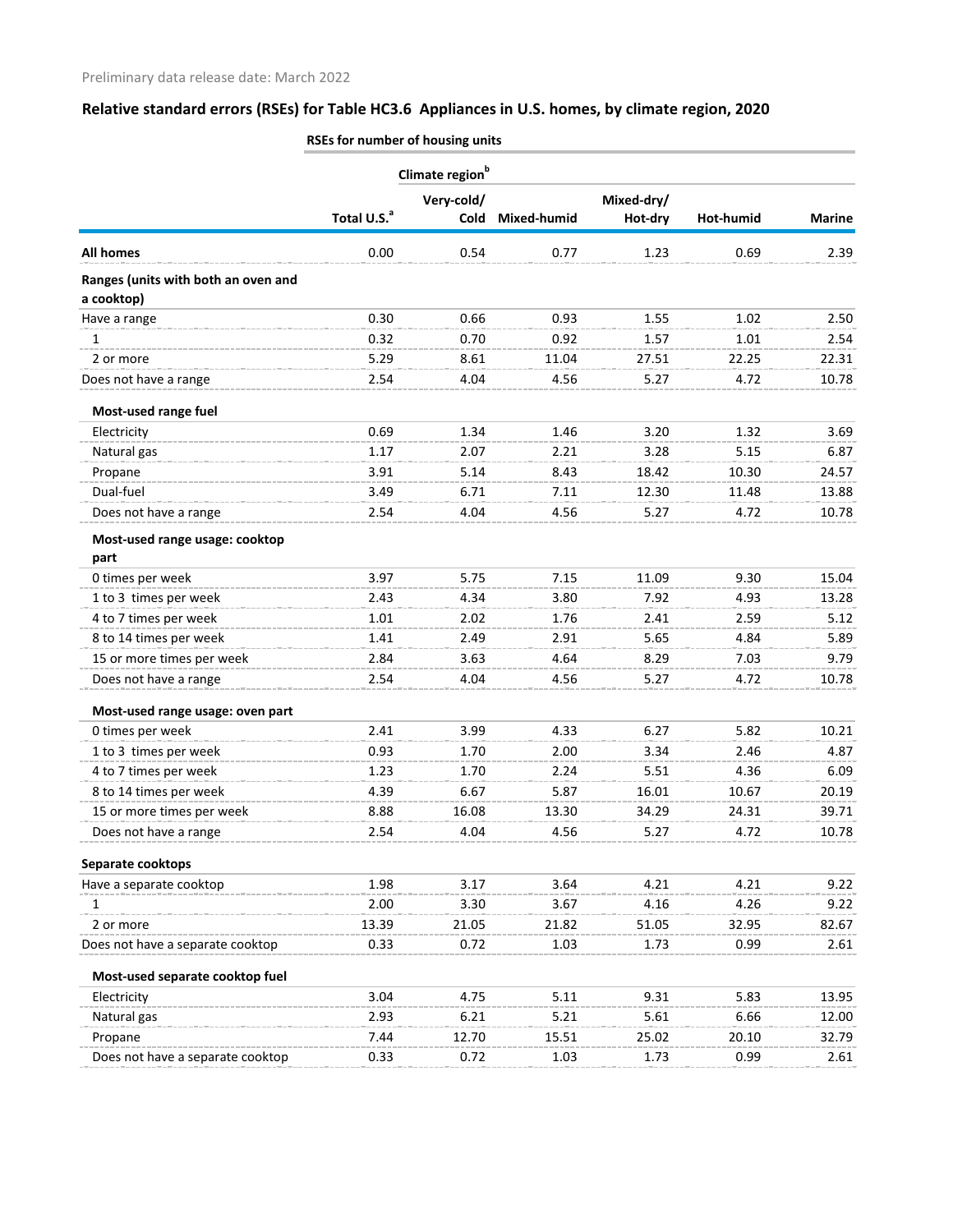|                                                   | Climate region <sup>b</sup> |             |             |            |           |               |  |
|---------------------------------------------------|-----------------------------|-------------|-------------|------------|-----------|---------------|--|
|                                                   |                             | Very-cold/  |             | Mixed-dry/ |           |               |  |
|                                                   | Total U.S. <sup>a</sup>     | <b>Cold</b> | Mixed-humid | Hot-dry    | Hot-humid | <b>Marine</b> |  |
| <b>All homes</b>                                  | 0.00                        | 0.54        | 0.77        | 1.23       | 0.69      | 2.39          |  |
| Ranges (units with both an oven and<br>a cooktop) |                             |             |             |            |           |               |  |
| Have a range                                      | 0.30                        | 0.66        | 0.93        | 1.55       | 1.02      | 2.50          |  |
| 1                                                 | 0.32                        | 0.70        | 0.92        | 1.57       | 1.01      | 2.54          |  |
| 2 or more                                         | 5.29                        | 8.61        | 11.04       | 27.51      | 22.25     | 22.31         |  |
| Does not have a range                             | 2.54                        | 4.04        | 4.56        | 5.27       | 4.72      | 10.78         |  |
| Most-used range fuel                              |                             |             |             |            |           |               |  |
| Electricity                                       | 0.69                        | 1.34        | 1.46        | 3.20       | 1.32      | 3.69          |  |
| Natural gas                                       | 1.17                        | 2.07        | 2.21        | 3.28       | 5.15      | 6.87          |  |
| Propane                                           | 3.91                        | 5.14        | 8.43        | 18.42      | 10.30     | 24.57         |  |
| Dual-fuel                                         | 3.49                        | 6.71        | 7.11        | 12.30      | 11.48     | 13.88         |  |
| Does not have a range                             | 2.54                        | 4.04        | 4.56        | 5.27       | 4.72      | 10.78         |  |
| Most-used range usage: cooktop                    |                             |             |             |            |           |               |  |
| part                                              |                             |             |             |            |           |               |  |
| 0 times per week                                  | 3.97                        | 5.75        | 7.15        | 11.09      | 9.30      | 15.04         |  |
| 1 to 3 times per week                             | 2.43                        | 4.34        | 3.80        | 7.92       | 4.93      | 13.28         |  |
| 4 to 7 times per week                             | 1.01                        | 2.02        | 1.76        | 2.41       | 2.59      | 5.12          |  |
| 8 to 14 times per week                            | 1.41                        | 2.49        | 2.91        | 5.65       | 4.84      | 5.89          |  |
| 15 or more times per week                         | 2.84                        | 3.63        | 4.64        | 8.29       | 7.03      | 9.79          |  |
| Does not have a range                             | 2.54                        | 4.04        | 4.56        | 5.27       | 4.72      | 10.78         |  |
| Most-used range usage: oven part                  |                             |             |             |            |           |               |  |
| 0 times per week                                  | 2.41                        | 3.99        | 4.33        | 6.27       | 5.82      | 10.21         |  |
| 1 to 3 times per week                             | 0.93                        | 1.70        | 2.00        | 3.34       | 2.46      | 4.87          |  |
| 4 to 7 times per week                             | 1.23                        | 1.70        | 2.24        | 5.51       | 4.36      | 6.09          |  |
| 8 to 14 times per week                            | 4.39                        | 6.67        | 5.87        | 16.01      | 10.67     | 20.19         |  |
| 15 or more times per week                         | 8.88                        | 16.08       | 13.30       | 34.29      | 24.31     | 39.71         |  |
| Does not have a range                             | 2.54                        | 4.04        | 4.56        | 5.27       | 4.72      | 10.78         |  |
| Separate cooktops                                 |                             |             |             |            |           |               |  |
| Have a separate cooktop                           | 1.98                        | 3.17        | 3.64        | 4.21       | 4.21      | 9.22          |  |
| 1                                                 | 2.00                        | 3.30        | 3.67        | 4.16       | 4.26      | 9.22          |  |
| 2 or more                                         | 13.39                       | 21.05       | 21.82       | 51.05      | 32.95     | 82.67         |  |
| Does not have a separate cooktop                  | 0.33                        | 0.72        | 1.03        | 1.73       | 0.99      | 2.61          |  |
| Most-used separate cooktop fuel                   |                             |             |             |            |           |               |  |
| Electricity                                       | 3.04                        | 4.75        | 5.11        | 9.31       | 5.83      | 13.95         |  |
| Natural gas                                       | 2.93                        | 6.21        | 5.21        | 5.61       | 6.66      | 12.00         |  |
| Propane                                           | 7.44                        | 12.70       | 15.51       | 25.02      | 20.10     | 32.79         |  |
| Does not have a separate cooktop                  | 0.33                        | 0.72        | 1.03        | 1.73       | 0.99      | 2.61          |  |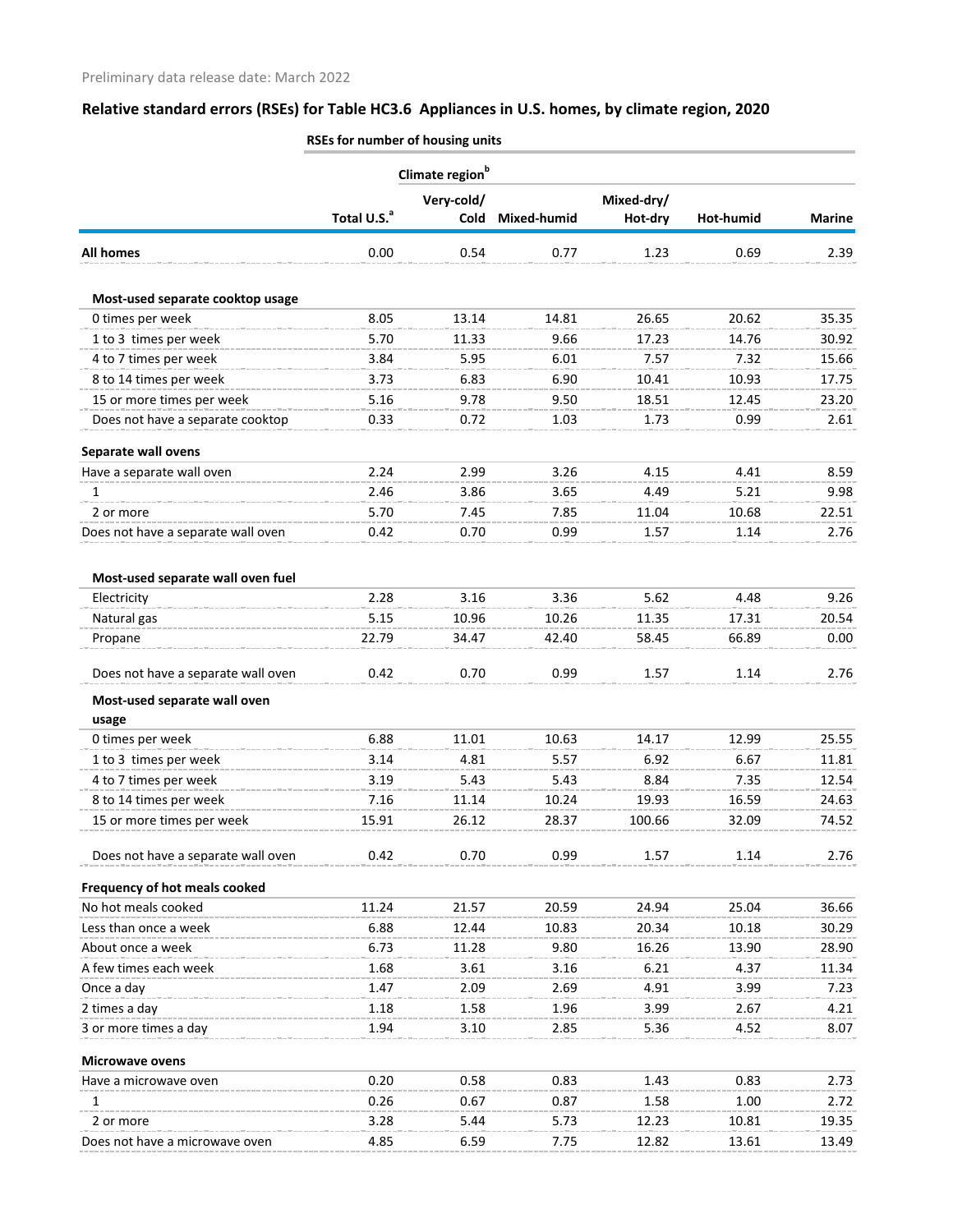|                                       | Climate region <sup>b</sup> |            |             |            |           |               |  |
|---------------------------------------|-----------------------------|------------|-------------|------------|-----------|---------------|--|
|                                       |                             | Very-cold/ |             | Mixed-dry/ |           |               |  |
|                                       | Total U.S. <sup>a</sup>     | Cold       | Mixed-humid | Hot-dry    | Hot-humid | <b>Marine</b> |  |
| All homes                             | 0.00                        | 0.54       | 0.77        | 1.23       | 0.69      | 2.39          |  |
| Most-used separate cooktop usage      |                             |            |             |            |           |               |  |
| 0 times per week                      | 8.05                        | 13.14      | 14.81       | 26.65      | 20.62     | 35.35         |  |
| 1 to 3 times per week                 | 5.70                        | 11.33      | 9.66        | 17.23      | 14.76     | 30.92         |  |
| 4 to 7 times per week                 | 3.84                        | 5.95       | 6.01        | 7.57       | 7.32      | 15.66         |  |
| 8 to 14 times per week                | 3.73                        | 6.83       | 6.90        | 10.41      | 10.93     | 17.75         |  |
| 15 or more times per week             | 5.16                        | 9.78       | 9.50        | 18.51      | 12.45     | 23.20         |  |
| Does not have a separate cooktop      | 0.33                        | 0.72       | 1.03        | 1.73       | 0.99      | 2.61          |  |
| Separate wall ovens                   |                             |            |             |            |           |               |  |
| Have a separate wall oven             | 2.24                        | 2.99       | 3.26        | 4.15       | 4.41      | 8.59          |  |
| 1                                     | 2.46                        | 3.86       | 3.65        | 4.49       | 5.21      | 9.98          |  |
| 2 or more                             | 5.70                        | 7.45       | 7.85        | 11.04      | 10.68     | 22.51         |  |
| Does not have a separate wall oven    | 0.42                        | 0.70       | 0.99        | 1.57       | 1.14      | 2.76          |  |
| Most-used separate wall oven fuel     |                             |            |             |            |           |               |  |
| Electricity                           | 2.28                        | 3.16       | 3.36        | 5.62       | 4.48      | 9.26          |  |
| Natural gas                           | 5.15                        | 10.96      | 10.26       | 11.35      | 17.31     | 20.54         |  |
| Propane                               | 22.79                       | 34.47      | 42.40       | 58.45      | 66.89     | 0.00          |  |
| Does not have a separate wall oven    | 0.42                        | 0.70       | 0.99        | 1.57       | 1.14      | 2.76          |  |
| Most-used separate wall oven<br>usage |                             |            |             |            |           |               |  |
| 0 times per week                      | 6.88                        | 11.01      | 10.63       | 14.17      | 12.99     | 25.55         |  |
| 1 to 3 times per week                 | 3.14                        | 4.81       | 5.57        | 6.92       | 6.67      | 11.81         |  |
| 4 to 7 times per week                 | 3.19                        | 5.43       | 5.43        | 8.84       | 7.35      | 12.54         |  |
| 8 to 14 times per week                | 7.16                        | 11.14      | 10.24       | 19.93      | 16.59     | 24.63         |  |
| 15 or more times per week             | 15.91                       | 26.12      | 28.37       | 100.66     | 32.09     | 74.52         |  |
| Does not have a separate wall oven    | 0.42                        | 0.70       | 0.99        | 1.57       | 1.14      | 2.76          |  |
| Frequency of hot meals cooked         |                             |            |             |            |           |               |  |
| No hot meals cooked                   | 11.24                       | 21.57      | 20.59       | 24.94      | 25.04     | 36.66         |  |
| Less than once a week                 | 6.88                        | 12.44      | 10.83       | 20.34      | 10.18     | 30.29         |  |
| About once a week                     | 6.73                        | 11.28      | 9.80        | 16.26      | 13.90     | 28.90         |  |
| A few times each week                 | 1.68                        | 3.61       | 3.16        | 6.21       | 4.37      | 11.34         |  |
| Once a day                            | 1.47                        | 2.09       | 2.69        | 4.91       | 3.99      | 7.23          |  |
| 2 times a day                         | 1.18                        | 1.58       | 1.96        | 3.99       | 2.67      | 4.21          |  |
| 3 or more times a day                 | 1.94                        | 3.10       | 2.85        | 5.36       | 4.52      | 8.07          |  |
| <b>Microwave ovens</b>                |                             |            |             |            |           |               |  |
| Have a microwave oven                 | 0.20                        | 0.58       | 0.83        | 1.43       | 0.83      | 2.73          |  |
| 1                                     | 0.26                        | 0.67       | 0.87        | 1.58       | 1.00      | 2.72          |  |
| 2 or more                             | 3.28                        | 5.44       | 5.73        | 12.23      | 10.81     | 19.35         |  |
| Does not have a microwave oven        | 4.85                        | 6.59       | 7.75        | 12.82      | 13.61     | 13.49         |  |
|                                       |                             |            |             |            |           |               |  |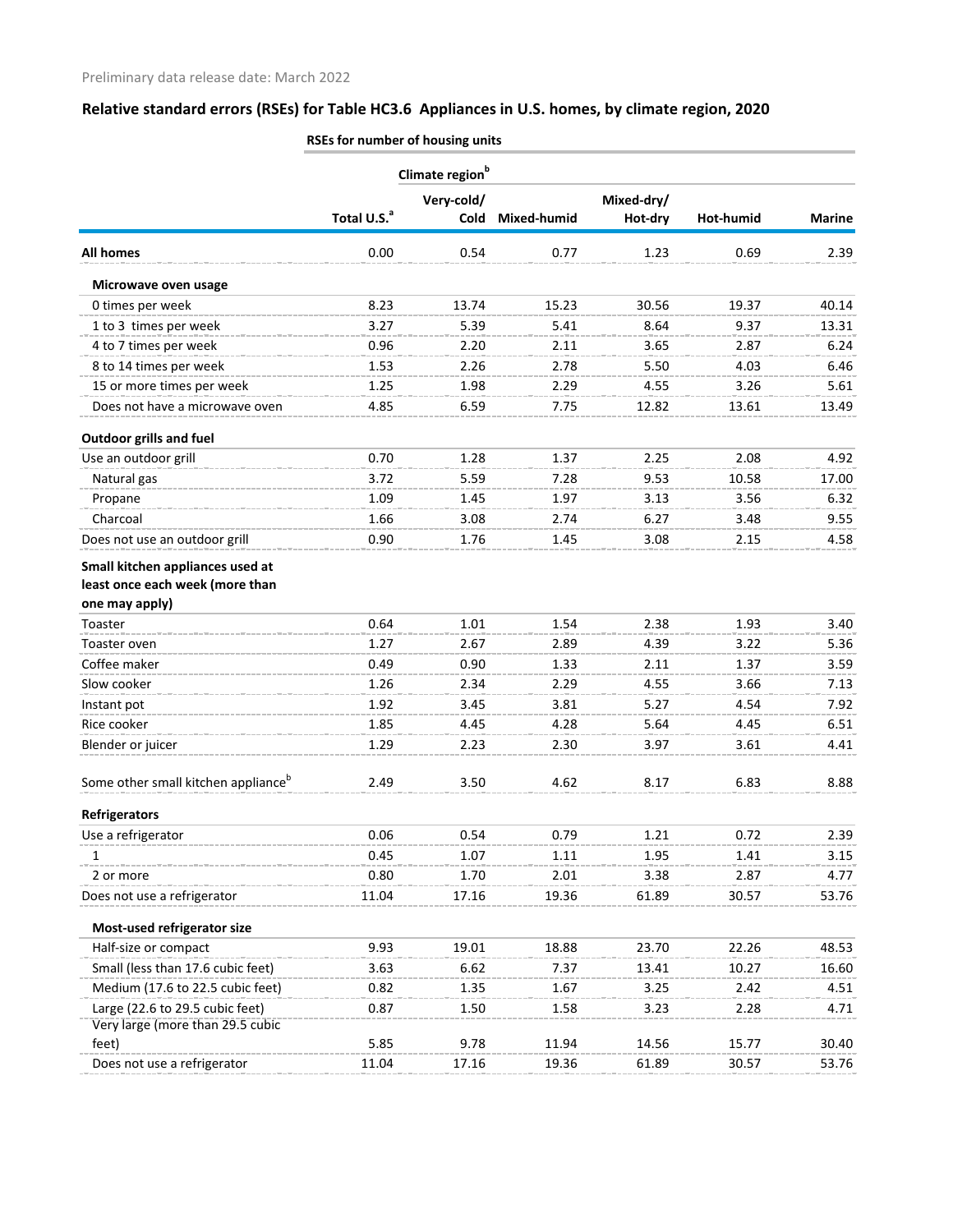|                                                 | Climate region <sup>b</sup> |            |             |            |           |               |  |
|-------------------------------------------------|-----------------------------|------------|-------------|------------|-----------|---------------|--|
|                                                 |                             | Very-cold/ |             | Mixed-dry/ |           |               |  |
|                                                 | Total U.S. <sup>a</sup>     | Cold       | Mixed-humid | Hot-dry    | Hot-humid | <b>Marine</b> |  |
| <b>All homes</b>                                | 0.00                        | 0.54       | 0.77        | 1.23       | 0.69      | 2.39          |  |
| Microwave oven usage                            |                             |            |             |            |           |               |  |
| 0 times per week                                | 8.23                        | 13.74      | 15.23       | 30.56      | 19.37     | 40.14         |  |
| 1 to 3 times per week                           | 3.27                        | 5.39       | 5.41        | 8.64       | 9.37      | 13.31         |  |
| 4 to 7 times per week                           | 0.96                        | 2.20       | 2.11        | 3.65       | 2.87      | 6.24          |  |
| 8 to 14 times per week                          | 1.53                        | 2.26       | 2.78        | 5.50       | 4.03      | 6.46          |  |
| 15 or more times per week                       | 1.25                        | 1.98       | 2.29        | 4.55       | 3.26      | 5.61          |  |
| Does not have a microwave oven                  | 4.85                        | 6.59       | 7.75        | 12.82      | 13.61     | 13.49         |  |
| <b>Outdoor grills and fuel</b>                  |                             |            |             |            |           |               |  |
| Use an outdoor grill                            | 0.70                        | 1.28       | 1.37        | 2.25       | 2.08      | 4.92          |  |
| Natural gas                                     | 3.72                        | 5.59       | 7.28        | 9.53       | 10.58     | 17.00         |  |
| Propane                                         | 1.09                        | 1.45       | 1.97        | 3.13       | 3.56      | 6.32          |  |
| Charcoal                                        | 1.66                        | 3.08       | 2.74        | 6.27       | 3.48      | 9.55          |  |
| Does not use an outdoor grill                   | 0.90                        | 1.76       | 1.45        | 3.08       | 2.15      | 4.58          |  |
| Small kitchen appliances used at                |                             |            |             |            |           |               |  |
| least once each week (more than                 |                             |            |             |            |           |               |  |
| one may apply)                                  |                             |            |             |            |           |               |  |
| Toaster                                         | 0.64                        | 1.01       | 1.54        | 2.38       | 1.93      | 3.40          |  |
| Toaster oven                                    | 1.27                        | 2.67       | 2.89        | 4.39       | 3.22      | 5.36          |  |
| Coffee maker                                    | 0.49                        | 0.90       | 1.33        | 2.11       | 1.37      | 3.59          |  |
| Slow cooker                                     | 1.26                        | 2.34       | 2.29        | 4.55       | 3.66      | 7.13          |  |
| Instant pot                                     | 1.92                        | 3.45       | 3.81        | 5.27       | 4.54      | 7.92          |  |
| Rice cooker                                     | 1.85                        | 4.45       | 4.28        | 5.64       | 4.45      | 6.51          |  |
| Blender or juicer                               | 1.29                        | 2.23       | 2.30        | 3.97       | 3.61      | 4.41          |  |
| Some other small kitchen appliance <sup>b</sup> | 2.49                        | 3.50       | 4.62        | 8.17       | 6.83      | 8.88          |  |
| <b>Refrigerators</b>                            |                             |            |             |            |           |               |  |
| Use a refrigerator                              | 0.06                        | 0.54       | 0.79        | 1.21       | 0.72      | 2.39          |  |
| 1                                               | 0.45                        | 1.07       | 1.11        | 1.95       | 1.41      | 3.15          |  |
| 2 or more                                       | 0.80                        | 1.70       | 2.01        | 3.38       | 2.87      | 4.77          |  |
| Does not use a refrigerator                     | 11.04                       | 17.16      | 19.36       | 61.89      | 30.57     | 53.76         |  |
| Most-used refrigerator size                     |                             |            |             |            |           |               |  |
| Half-size or compact                            | 9.93                        | 19.01      | 18.88       | 23.70      | 22.26     | 48.53         |  |
| Small (less than 17.6 cubic feet)               | 3.63                        | 6.62       | 7.37        | 13.41      | 10.27     | 16.60         |  |
| Medium (17.6 to 22.5 cubic feet)                | 0.82                        | 1.35       | 1.67        | 3.25       | 2.42      | 4.51          |  |
| Large (22.6 to 29.5 cubic feet)                 | 0.87                        | 1.50       | 1.58        | 3.23       | 2.28      | 4.71          |  |
| Very large (more than 29.5 cubic                |                             |            |             |            |           |               |  |
| feet)                                           | 5.85                        | 9.78       | 11.94       | 14.56      | 15.77     | 30.40         |  |
| Does not use a refrigerator                     | 11.04                       | 17.16      | 19.36       | 61.89      | 30.57     | 53.76         |  |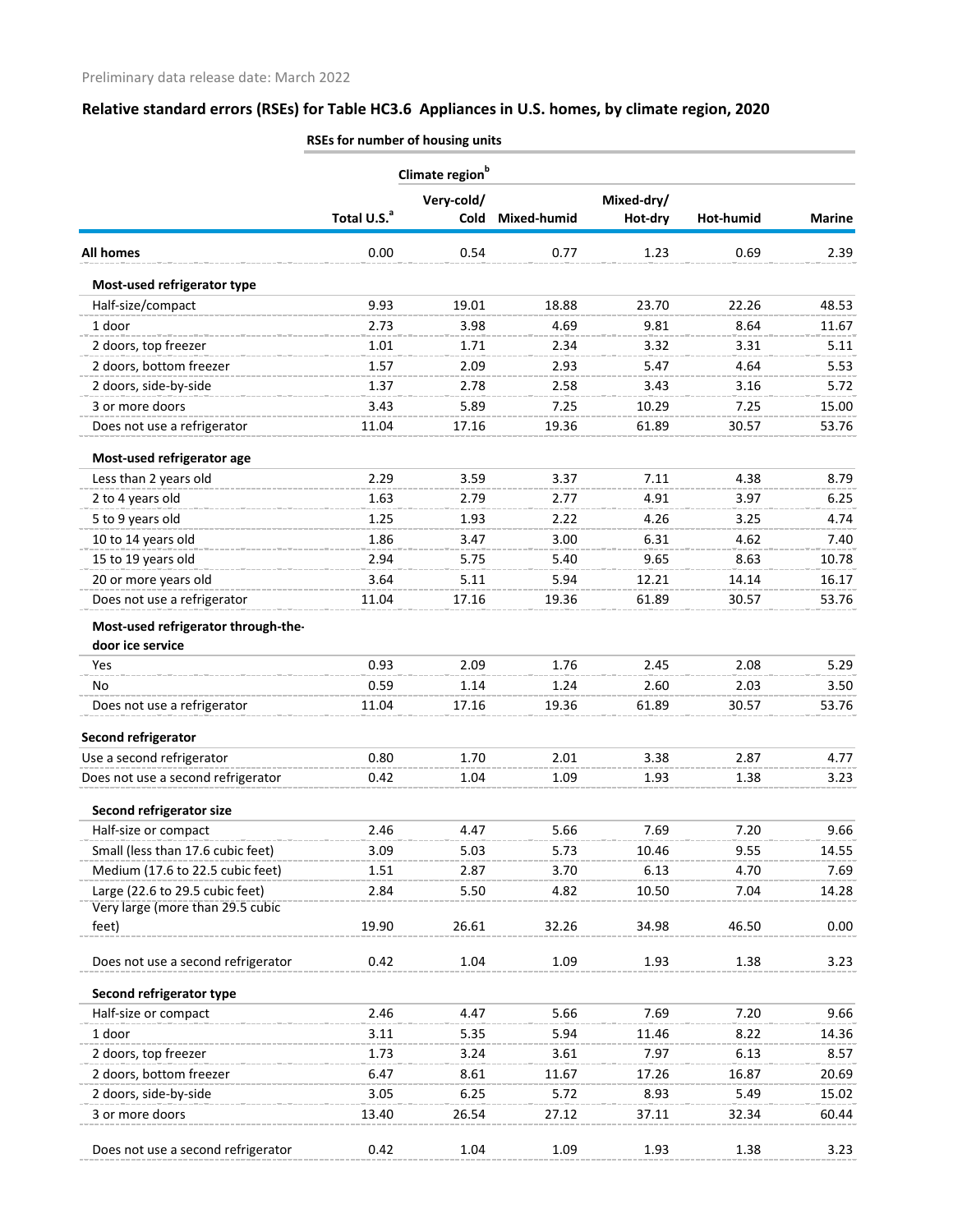|                                           | Climate region <sup>b</sup> |            |             |            |           |               |  |  |
|-------------------------------------------|-----------------------------|------------|-------------|------------|-----------|---------------|--|--|
|                                           |                             | Very-cold/ |             | Mixed-dry/ |           |               |  |  |
|                                           | Total U.S. <sup>a</sup>     | Cold       | Mixed-humid | Hot-dry    | Hot-humid | <b>Marine</b> |  |  |
| <b>All homes</b>                          | 0.00                        | 0.54       | 0.77        | 1.23       | 0.69      | 2.39          |  |  |
| Most-used refrigerator type               |                             |            |             |            |           |               |  |  |
| Half-size/compact                         | 9.93                        | 19.01      | 18.88       | 23.70      | 22.26     | 48.53         |  |  |
| 1 door                                    | 2.73                        | 3.98       | 4.69        | 9.81       | 8.64      | 11.67         |  |  |
| 2 doors, top freezer                      | 1.01                        | 1.71       | 2.34        | 3.32       | 3.31      | 5.11          |  |  |
| 2 doors, bottom freezer                   | 1.57                        | 2.09       | 2.93        | 5.47       | 4.64      | 5.53          |  |  |
| 2 doors, side-by-side                     | 1.37                        | 2.78       | 2.58        | 3.43       | 3.16      | 5.72          |  |  |
| 3 or more doors                           | 3.43                        | 5.89       | 7.25        | 10.29      | 7.25      | 15.00         |  |  |
| Does not use a refrigerator               | 11.04                       | 17.16      | 19.36       | 61.89      | 30.57     | 53.76         |  |  |
| Most-used refrigerator age                |                             |            |             |            |           |               |  |  |
| Less than 2 years old                     | 2.29                        | 3.59       | 3.37        | 7.11       | 4.38      | 8.79          |  |  |
| 2 to 4 years old                          | 1.63                        | 2.79       | 2.77        | 4.91       | 3.97      | 6.25          |  |  |
| 5 to 9 years old                          | 1.25                        | 1.93       | 2.22        | 4.26       | 3.25      | 4.74          |  |  |
| 10 to 14 years old                        | 1.86                        | 3.47       | 3.00        | 6.31       | 4.62      | 7.40          |  |  |
| 15 to 19 years old                        | 2.94                        | 5.75       | 5.40        | 9.65       | 8.63      | 10.78         |  |  |
| 20 or more years old                      | 3.64                        | 5.11       | 5.94        | 12.21      | 14.14     | 16.17         |  |  |
| Does not use a refrigerator               | 11.04                       | 17.16      | 19.36       | 61.89      | 30.57     | 53.76         |  |  |
| Most-used refrigerator through-the-       |                             |            |             |            |           |               |  |  |
| door ice service                          |                             |            |             |            |           |               |  |  |
| Yes                                       | 0.93                        | 2.09       | 1.76        | 2.45       | 2.08      | 5.29          |  |  |
| No                                        | 0.59                        | 1.14       | 1.24        | 2.60       | 2.03      | 3.50          |  |  |
| Does not use a refrigerator               | 11.04                       | 17.16      | 19.36       | 61.89      | 30.57     | 53.76         |  |  |
| Second refrigerator                       |                             |            |             |            |           |               |  |  |
| Use a second refrigerator                 | 0.80                        | 1.70       | 2.01        | 3.38       | 2.87      | 4.77          |  |  |
| Does not use a second refrigerator        | 0.42                        | 1.04       | 1.09        | 1.93       | 1.38      | 3.23          |  |  |
| Second refrigerator size                  |                             |            |             |            |           |               |  |  |
| Half-size or compact                      | 2.46                        | 4.47       | 5.66        | 7.69       | 7.20      | 9.66          |  |  |
| Small (less than 17.6 cubic feet)         | 3.09                        | 5.03       | 5.73        | 10.46      | 9.55      | 14.55         |  |  |
| Medium (17.6 to 22.5 cubic feet)          | 1.51                        | 2.87       | 3.70        | 6.13       | 4.70      | 7.69          |  |  |
| Large (22.6 to 29.5 cubic feet)           | 2.84                        | 5.50       | 4.82        | 10.50      | 7.04      | 14.28         |  |  |
| Very large (more than 29.5 cubic<br>feet) | 19.90                       | 26.61      | 32.26       | 34.98      | 46.50     | 0.00          |  |  |
|                                           |                             |            |             |            |           |               |  |  |
| Does not use a second refrigerator        | 0.42                        | 1.04       | 1.09        | 1.93       | 1.38      | 3.23          |  |  |
| Second refrigerator type                  |                             |            |             |            |           |               |  |  |
| Half-size or compact                      | 2.46                        | 4.47       | 5.66        | 7.69       | 7.20      | 9.66          |  |  |
| 1 door                                    | 3.11                        | 5.35       | 5.94        | 11.46      | 8.22      | 14.36         |  |  |
| 2 doors, top freezer                      | 1.73                        | 3.24       | 3.61        | 7.97       | 6.13      | 8.57          |  |  |
| 2 doors, bottom freezer                   | 6.47                        | 8.61       | 11.67       | 17.26      | 16.87     | 20.69         |  |  |
| 2 doors, side-by-side                     | 3.05                        | 6.25       | 5.72        | 8.93       | 5.49      | 15.02         |  |  |
| 3 or more doors                           | 13.40                       | 26.54      | 27.12       | 37.11      | 32.34     | 60.44         |  |  |
| Does not use a second refrigerator        | 0.42                        | 1.04       | 1.09        | 1.93       | 1.38      | 3.23          |  |  |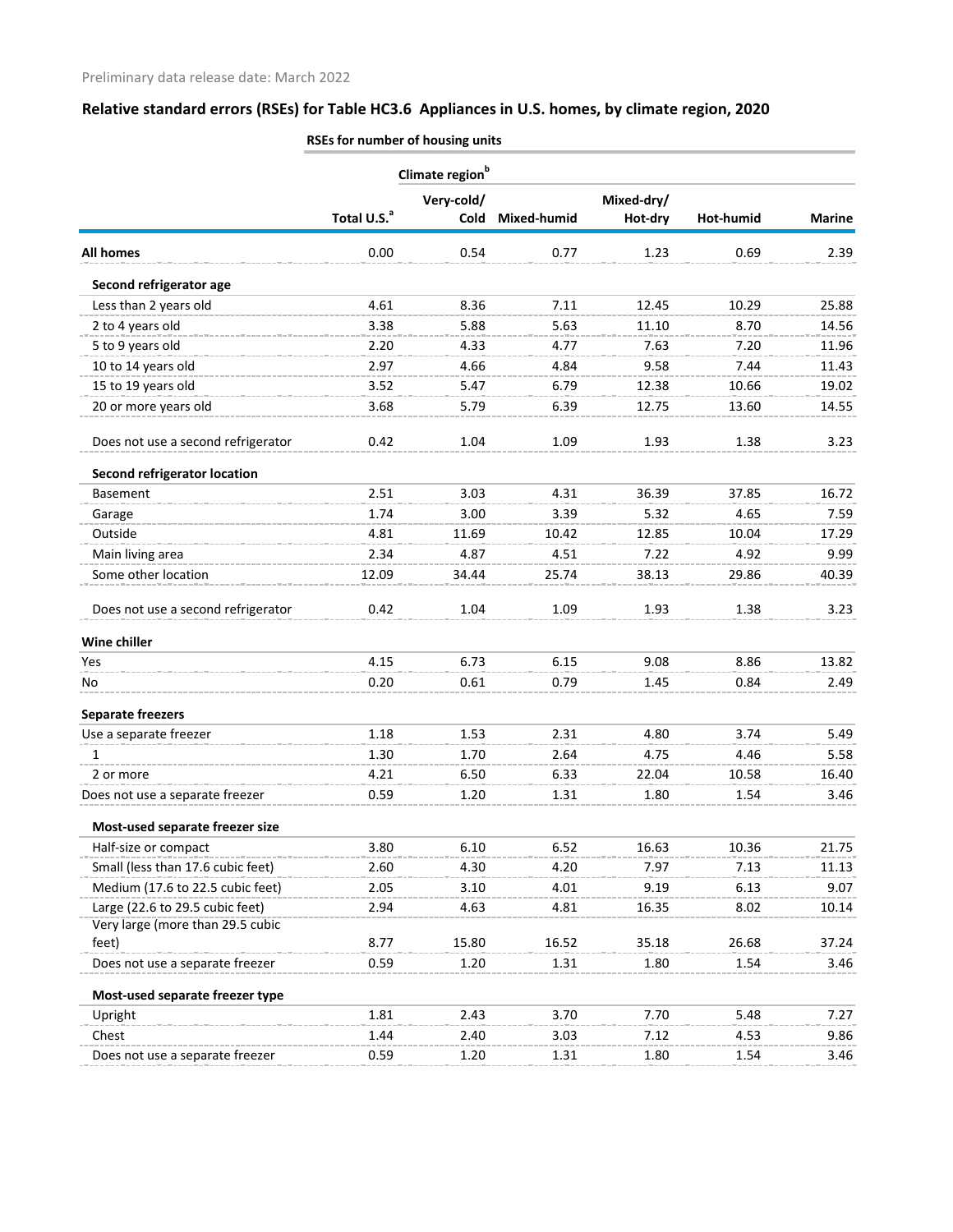|                                     | Climate region <sup>b</sup> |            |             |            |           |               |  |
|-------------------------------------|-----------------------------|------------|-------------|------------|-----------|---------------|--|
|                                     |                             | Very-cold/ |             | Mixed-dry/ |           |               |  |
|                                     | Total U.S. <sup>a</sup>     | Cold       | Mixed-humid | Hot-dry    | Hot-humid | <b>Marine</b> |  |
| <b>All homes</b>                    | 0.00                        | 0.54       | 0.77        | 1.23       | 0.69      | 2.39          |  |
| Second refrigerator age             |                             |            |             |            |           |               |  |
| Less than 2 years old               | 4.61                        | 8.36       | 7.11        | 12.45      | 10.29     | 25.88         |  |
| 2 to 4 years old                    | 3.38                        | 5.88       | 5.63        | 11.10      | 8.70      | 14.56         |  |
| 5 to 9 years old                    | 2.20                        | 4.33       | 4.77        | 7.63       | 7.20      | 11.96         |  |
| 10 to 14 years old                  | 2.97                        | 4.66       | 4.84        | 9.58       | 7.44      | 11.43         |  |
| 15 to 19 years old                  | 3.52                        | 5.47       | 6.79        | 12.38      | 10.66     | 19.02         |  |
| 20 or more years old                | 3.68                        | 5.79       | 6.39        | 12.75      | 13.60     | 14.55         |  |
| Does not use a second refrigerator  | 0.42                        | 1.04       | 1.09        | 1.93       | 1.38      | 3.23          |  |
| <b>Second refrigerator location</b> |                             |            |             |            |           |               |  |
| Basement                            | 2.51                        | 3.03       | 4.31        | 36.39      | 37.85     | 16.72         |  |
| Garage                              | 1.74                        | 3.00       | 3.39        | 5.32       | 4.65      | 7.59          |  |
| Outside                             | 4.81                        | 11.69      | 10.42       | 12.85      | 10.04     | 17.29         |  |
| Main living area                    | 2.34                        | 4.87       | 4.51        | 7.22       | 4.92      | 9.99          |  |
| Some other location                 | 12.09                       | 34.44      | 25.74       | 38.13      | 29.86     | 40.39         |  |
| Does not use a second refrigerator  | 0.42                        | 1.04       | 1.09        | 1.93       | 1.38      | 3.23          |  |
| Wine chiller                        |                             |            |             |            |           |               |  |
| Yes                                 | 4.15                        | 6.73       | 6.15        | 9.08       | 8.86      | 13.82         |  |
| No                                  | 0.20                        | 0.61       | 0.79        | 1.45       | 0.84      | 2.49          |  |
| <b>Separate freezers</b>            |                             |            |             |            |           |               |  |
| Use a separate freezer              | 1.18                        | 1.53       | 2.31        | 4.80       | 3.74      | 5.49          |  |
| 1                                   | 1.30                        | 1.70       | 2.64        | 4.75       | 4.46      | 5.58          |  |
| 2 or more                           | 4.21                        | 6.50       | 6.33        | 22.04      | 10.58     | 16.40         |  |
| Does not use a separate freezer     | 0.59                        | 1.20       | 1.31        | 1.80       | 1.54      | 3.46          |  |
| Most-used separate freezer size     |                             |            |             |            |           |               |  |
| Half-size or compact                | 3.80                        | 6.10       | 6.52        | 16.63      | 10.36     | 21.75         |  |
| Small (less than 17.6 cubic feet)   | 2.60                        | 4.30       | 4.20        | 7.97       | 7.13      | 11.13         |  |
| Medium (17.6 to 22.5 cubic feet)    | 2.05                        | 3.10       | 4.01        | 9.19       | 6.13      | 9.07          |  |
| Large (22.6 to 29.5 cubic feet)     | 2.94                        | 4.63       | 4.81        | 16.35      | 8.02      | 10.14         |  |
| Very large (more than 29.5 cubic    |                             |            |             |            |           |               |  |
| feet)                               | 8.77                        | 15.80      | 16.52       | 35.18      | 26.68     | 37.24         |  |
| Does not use a separate freezer     | 0.59                        | 1.20       | 1.31        | 1.80       | 1.54      | 3.46          |  |
| Most-used separate freezer type     |                             |            |             |            |           |               |  |
| Upright                             | 1.81                        | 2.43       | 3.70        | 7.70       | 5.48      | 7.27          |  |
| Chest                               | 1.44                        | 2.40       | 3.03        | 7.12       | 4.53      | 9.86          |  |
| Does not use a separate freezer     | 0.59                        | 1.20       | 1.31        | 1.80       | 1.54      | 3.46          |  |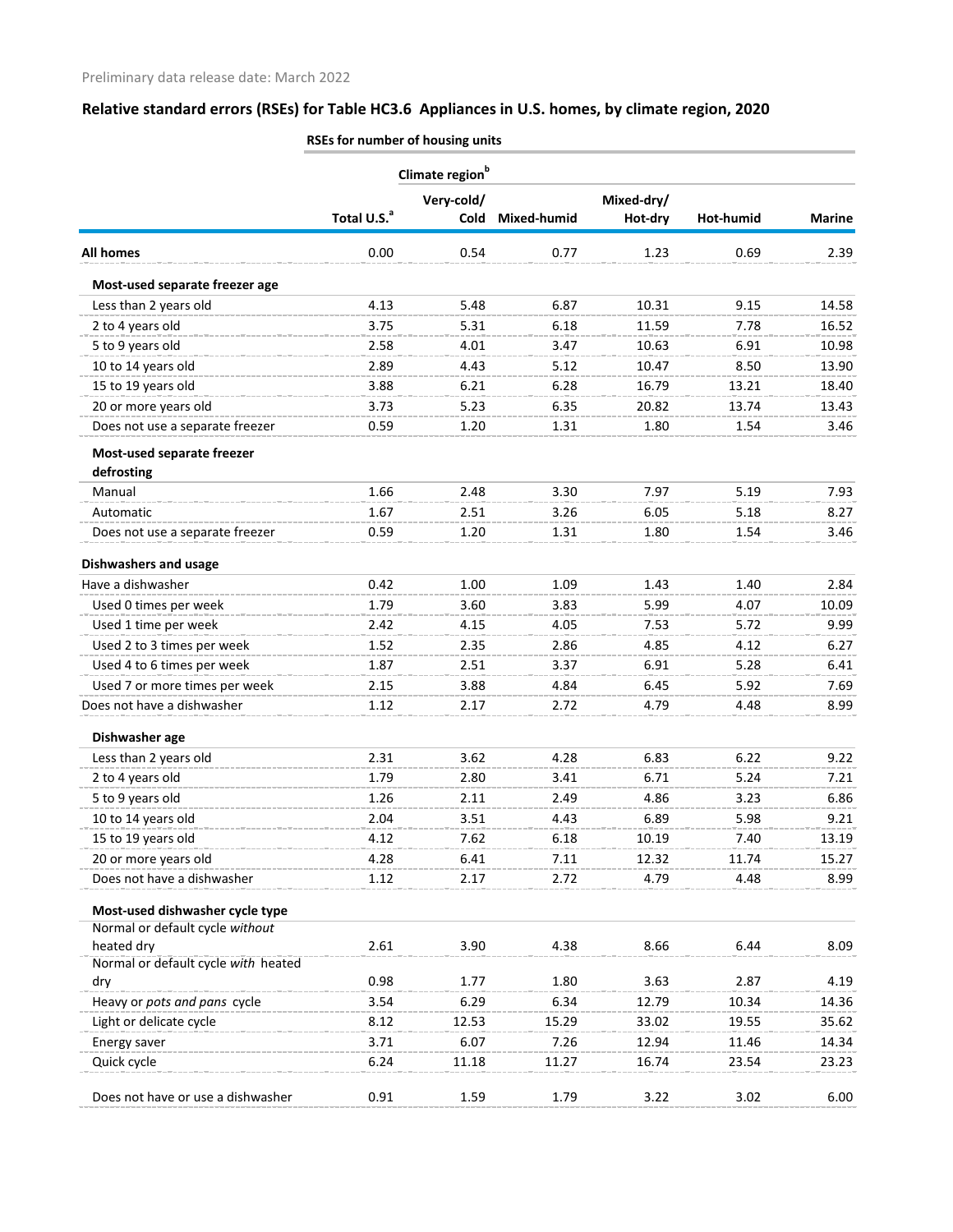|                                     | Climate region <sup>b</sup> |             |             |            |           |               |  |
|-------------------------------------|-----------------------------|-------------|-------------|------------|-----------|---------------|--|
|                                     |                             | Very-cold/  |             | Mixed-dry/ |           |               |  |
|                                     | Total U.S. <sup>a</sup>     | <b>Cold</b> | Mixed-humid | Hot-dry    | Hot-humid | <b>Marine</b> |  |
| <b>All homes</b>                    | 0.00                        | 0.54        | 0.77        | 1.23       | 0.69      | 2.39          |  |
| Most-used separate freezer age      |                             |             |             |            |           |               |  |
| Less than 2 years old               | 4.13                        | 5.48        | 6.87        | 10.31      | 9.15      | 14.58         |  |
| 2 to 4 years old                    | 3.75                        | 5.31        | 6.18        | 11.59      | 7.78      | 16.52         |  |
| 5 to 9 years old                    | 2.58                        | 4.01        | 3.47        | 10.63      | 6.91      | 10.98         |  |
| 10 to 14 years old                  | 2.89                        | 4.43        | 5.12        | 10.47      | 8.50      | 13.90         |  |
| 15 to 19 years old                  | 3.88                        | 6.21        | 6.28        | 16.79      | 13.21     | 18.40         |  |
| 20 or more years old                | 3.73                        | 5.23        | 6.35        | 20.82      | 13.74     | 13.43         |  |
| Does not use a separate freezer     | 0.59                        | 1.20        | 1.31        | 1.80       | 1.54      | 3.46          |  |
| Most-used separate freezer          |                             |             |             |            |           |               |  |
| defrosting                          |                             |             |             |            |           |               |  |
| Manual                              | 1.66                        | 2.48        | 3.30        | 7.97       | 5.19      | 7.93          |  |
| Automatic                           | 1.67                        | 2.51        | 3.26        | 6.05       | 5.18      | 8.27          |  |
| Does not use a separate freezer     | 0.59                        | 1.20        | 1.31        | 1.80       | 1.54      | 3.46          |  |
| <b>Dishwashers and usage</b>        |                             |             |             |            |           |               |  |
| Have a dishwasher                   | 0.42                        | 1.00        | 1.09        | 1.43       | 1.40      | 2.84          |  |
| Used 0 times per week               | 1.79                        | 3.60        | 3.83        | 5.99       | 4.07      | 10.09         |  |
| Used 1 time per week                | 2.42                        | 4.15        | 4.05        | 7.53       | 5.72      | 9.99          |  |
| Used 2 to 3 times per week          | 1.52                        | 2.35        | 2.86        | 4.85       | 4.12      | 6.27          |  |
| Used 4 to 6 times per week          | 1.87                        | 2.51        | 3.37        | 6.91       | 5.28      | 6.41          |  |
| Used 7 or more times per week       | 2.15                        | 3.88        | 4.84        | 6.45       | 5.92      | 7.69          |  |
| Does not have a dishwasher          | 1.12                        | 2.17        | 2.72        | 4.79       | 4.48      | 8.99          |  |
| Dishwasher age                      |                             |             |             |            |           |               |  |
| Less than 2 years old               | 2.31                        | 3.62        | 4.28        | 6.83       | 6.22      | 9.22          |  |
| 2 to 4 years old                    | 1.79                        | 2.80        | 3.41        | 6.71       | 5.24      | 7.21          |  |
| 5 to 9 years old                    | 1.26                        | 2.11        | 2.49        | 4.86       | 3.23      | 6.86          |  |
| 10 to 14 years old                  | 2.04                        | 3.51        | 4.43        | 6.89       | 5.98      | 9.21          |  |
| 15 to 19 years old                  | 4.12                        | 7.62        | 6.18        | 10.19      | 7.40      | 13.19         |  |
| 20 or more years old                | 4.28                        | 6.41        | 7.11        | 12.32      | 11.74     | 15.27         |  |
| Does not have a dishwasher          | 1.12                        | 2.17        | 2.72        | 4.79       | 4.48      | 8.99          |  |
| Most-used dishwasher cycle type     |                             |             |             |            |           |               |  |
| Normal or default cycle without     |                             |             |             |            |           |               |  |
| heated dry                          | 2.61                        | 3.90        | 4.38        | 8.66       | 6.44      | 8.09          |  |
| Normal or default cycle with heated |                             |             |             |            |           |               |  |
| dry                                 | 0.98                        | 1.77        | 1.80        | 3.63       | 2.87      | 4.19          |  |
| Heavy or pots and pans cycle        | 3.54                        | 6.29        | 6.34        | 12.79      | 10.34     | 14.36         |  |
| Light or delicate cycle             | 8.12                        | 12.53       | 15.29       | 33.02      | 19.55     | 35.62         |  |
| Energy saver                        | 3.71                        | 6.07        | 7.26        | 12.94      | 11.46     | 14.34         |  |
| Quick cycle                         | 6.24                        | 11.18       | 11.27       | 16.74      | 23.54     | 23.23         |  |
| Does not have or use a dishwasher   | 0.91                        | 1.59        | 1.79        | 3.22       | 3.02      | 6.00          |  |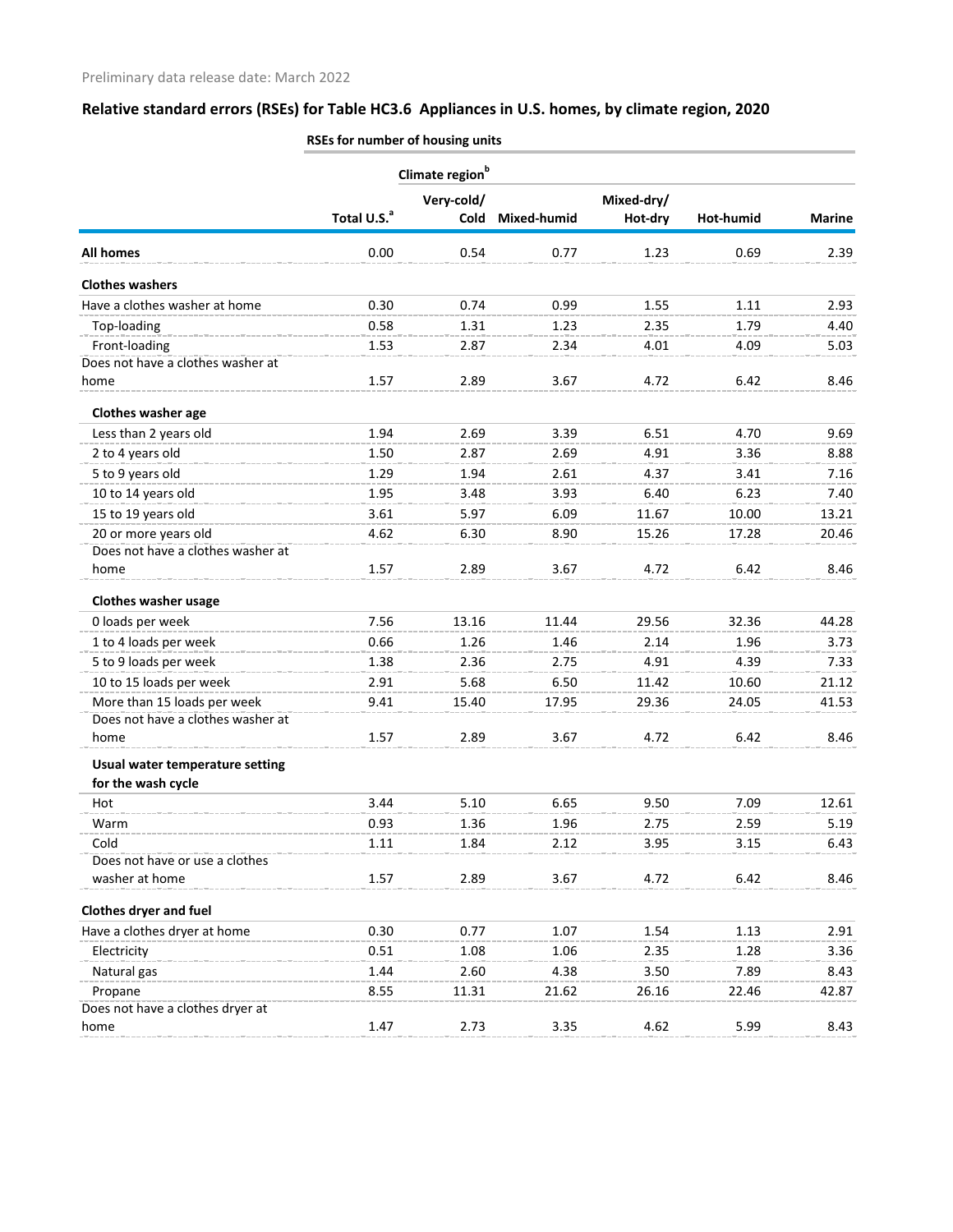|                                   | Climate region <sup>b</sup> |            |             |            |           |               |  |
|-----------------------------------|-----------------------------|------------|-------------|------------|-----------|---------------|--|
|                                   |                             | Very-cold/ |             | Mixed-dry/ |           |               |  |
|                                   | Total U.S. <sup>a</sup>     | Cold       | Mixed-humid | Hot-dry    | Hot-humid | <b>Marine</b> |  |
| <b>All homes</b>                  | 0.00                        | 0.54       | 0.77        | 1.23       | 0.69      | 2.39          |  |
| <b>Clothes washers</b>            |                             |            |             |            |           |               |  |
| Have a clothes washer at home     | 0.30                        | 0.74       | 0.99        | 1.55       | 1.11      | 2.93          |  |
| Top-loading                       | 0.58                        | 1.31       | 1.23        | 2.35       | 1.79      | 4.40          |  |
| Front-loading                     | 1.53                        | 2.87       | 2.34        | 4.01       | 4.09      | 5.03          |  |
| Does not have a clothes washer at |                             |            |             |            |           |               |  |
| home                              | 1.57                        | 2.89       | 3.67        | 4.72       | 6.42      | 8.46          |  |
| Clothes washer age                |                             |            |             |            |           |               |  |
| Less than 2 years old             | 1.94                        | 2.69       | 3.39        | 6.51       | 4.70      | 9.69          |  |
| 2 to 4 years old                  | 1.50                        | 2.87       | 2.69        | 4.91       | 3.36      | 8.88          |  |
| 5 to 9 years old                  | 1.29                        | 1.94       | 2.61        | 4.37       | 3.41      | 7.16          |  |
| 10 to 14 years old                | 1.95                        | 3.48       | 3.93        | 6.40       | 6.23      | 7.40          |  |
| 15 to 19 years old                | 3.61                        | 5.97       | 6.09        | 11.67      | 10.00     | 13.21         |  |
| 20 or more years old              | 4.62                        | 6.30       | 8.90        | 15.26      | 17.28     | 20.46         |  |
| Does not have a clothes washer at |                             |            |             |            |           |               |  |
| home                              | 1.57                        | 2.89       | 3.67        | 4.72       | 6.42      | 8.46          |  |
| <b>Clothes washer usage</b>       |                             |            |             |            |           |               |  |
| 0 loads per week                  | 7.56                        | 13.16      | 11.44       | 29.56      | 32.36     | 44.28         |  |
| 1 to 4 loads per week             | 0.66                        | 1.26       | 1.46        | 2.14       | 1.96      | 3.73          |  |
| 5 to 9 loads per week             | 1.38                        | 2.36       | 2.75        | 4.91       | 4.39      | 7.33          |  |
| 10 to 15 loads per week           | 2.91                        | 5.68       | 6.50        | 11.42      | 10.60     | 21.12         |  |
| More than 15 loads per week       | 9.41                        | 15.40      | 17.95       | 29.36      | 24.05     | 41.53         |  |
| Does not have a clothes washer at |                             |            |             |            |           |               |  |
| home                              | 1.57                        | 2.89       | 3.67        | 4.72       | 6.42      | 8.46          |  |
| Usual water temperature setting   |                             |            |             |            |           |               |  |
| for the wash cycle                |                             |            |             |            |           |               |  |
| Hot                               | 3.44                        | 5.10       | 6.65        | 9.50       | 7.09      | 12.61         |  |
| Warm                              | 0.93                        | 1.36       | 1.96        | 2.75       | 2.59      | 5.19          |  |
| Cold                              | 1.11                        | 1.84       | 2.12        | 3.95       | 3.15      | 6.43          |  |
| Does not have or use a clothes    |                             |            |             |            |           |               |  |
| washer at home                    | 1.57                        | 2.89       | 3.67        | 4.72       | 6.42      | 8.46          |  |
| <b>Clothes dryer and fuel</b>     |                             |            |             |            |           |               |  |
| Have a clothes dryer at home      | 0.30                        | 0.77       | 1.07        | 1.54       | 1.13      | 2.91          |  |
| Electricity                       | 0.51                        | 1.08       | 1.06        | 2.35       | 1.28      | 3.36          |  |
| Natural gas                       | 1.44                        | 2.60       | 4.38        | 3.50       | 7.89      | 8.43          |  |
| Propane                           | 8.55                        | 11.31      | 21.62       | 26.16      | 22.46     | 42.87         |  |
| Does not have a clothes dryer at  |                             |            |             |            |           |               |  |
| home                              | 1.47                        | 2.73       | 3.35        | 4.62       | 5.99      | 8.43          |  |